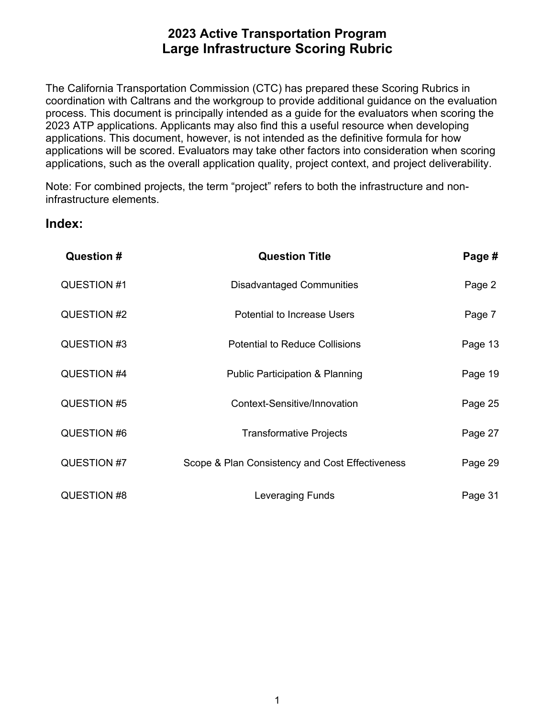process. This document is principally intended as a guide for the evaluators when scoring the applications, such as the overall application quality, project context, and project deliverability. The California Transportation Commission (CTC) has prepared these Scoring Rubrics in coordination with Caltrans and the workgroup to provide additional guidance on the evaluation 2023 ATP applications. Applicants may also find this a useful resource when developing applications. This document, however, is not intended as the definitive formula for how applications will be scored. Evaluators may take other factors into consideration when scoring

Note: For combined projects, the term "project" refers to both the infrastructure and noninfrastructure elements.

### **Index:**

| <b>Question #</b> | <b>Question Title</b>                           | Page #  |
|-------------------|-------------------------------------------------|---------|
| QUESTION #1       | <b>Disadvantaged Communities</b>                | Page 2  |
| QUESTION #2       | <b>Potential to Increase Users</b>              | Page 7  |
| QUESTION #3       | <b>Potential to Reduce Collisions</b>           | Page 13 |
| QUESTION #4       | <b>Public Participation &amp; Planning</b>      | Page 19 |
| QUESTION #5       | Context-Sensitive/Innovation                    | Page 25 |
| QUESTION #6       | <b>Transformative Projects</b>                  | Page 27 |
| QUESTION #7       | Scope & Plan Consistency and Cost Effectiveness | Page 29 |
| QUESTION #8       | Leveraging Funds                                | Page 31 |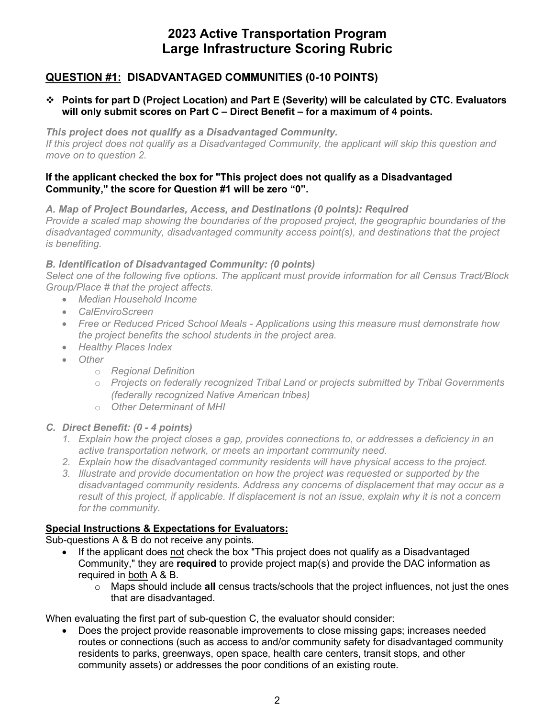### **QUESTION #1: DISADVANTAGED COMMUNITIES (0-10 POINTS)**

#### **Points for part D (Project Location) and Part E (Severity) will be calculated by CTC. Evaluators will only submit scores on Part C – Direct Benefit – for a maximum of 4 points.**

 *If this project does not qualify as a Disadvantaged Community, the applicant will skip this question and This project does not qualify as a Disadvantaged Community. move on to question 2.* 

#### **Community," the score for Question #1 will be zero "0". If the applicant checked the box for "This project does not qualify as a Disadvantaged**

 *Provide a scaled map showing the boundaries of the proposed project, the geographic boundaries of the disadvantaged community, disadvantaged community access point(s), and destinations that the project A. Map of Project Boundaries, Access, and Destinations (0 points): Required is benefiting.* 

#### *B. Identification of Disadvantaged Community: (0 points)*

*Select one of the following five options. The applicant must provide information for all Census Tract/Block Group/Place # that the project affects.* 

- *Median Household Income*
- *CalEnviroScreen*
- *Free or Reduced Priced School Meals - Applications using this measure must demonstrate how the project benefits the school students in the project area.*
- *Healthy Places Index*
- *Other* 
	- o *Regional Definition*
	- o *Projects on federally recognized Tribal Land or projects submitted by Tribal Governments (federally recognized Native American tribes)*
	- o *Other Determinant of MHI*

### *C. Direct Benefit: (0 - 4 points)*

- *1. Explain how the project closes a gap, provides connections to, or addresses a deficiency in an active transportation network, or meets an important community need.*
- 2. Explain how the disadvantaged community residents will have physical access to the project.
- *2. Explain how the disadvantaged community residents will have physical access to the project. 3. Illustrate and provide documentation on how the project was requested or supported by the disadvantaged community residents. Address any concerns of displacement that may occur as a result of this project, if applicable. If displacement is not an issue, explain why it is not a concern for the community.*

#### **Special Instructions & Expectations for Evaluators:**

Sub-questions A & B do not receive any points.

- If the applicant does not check the box "This project does not qualify as a Disadvantaged Community," they are **required** to provide project map(s) and provide the DAC information as required in both A & B.
	- o Maps should include **all** census tracts/schools that the project influences, not just the ones that are disadvantaged.

When evaluating the first part of sub-question C, the evaluator should consider:

• Does the project provide reasonable improvements to close missing gaps; increases needed routes or connections (such as access to and/or community safety for disadvantaged community residents to parks, greenways, open space, health care centers, transit stops, and other community assets) or addresses the poor conditions of an existing route.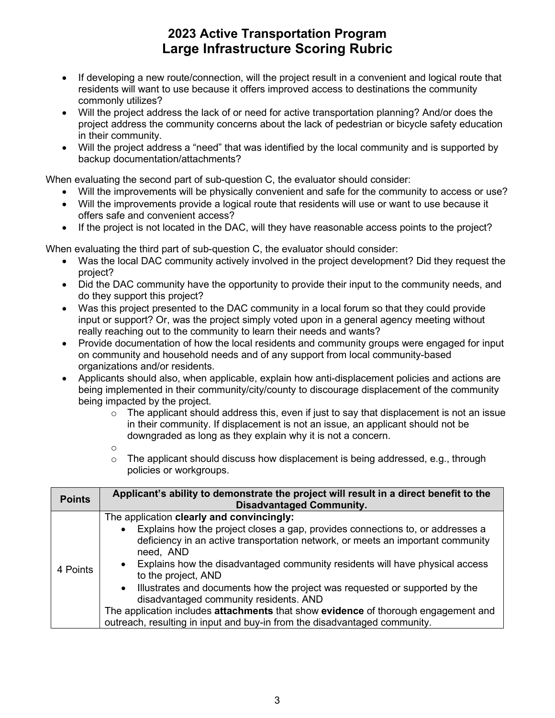- If developing a new route/connection, will the project result in a convenient and logical route that residents will want to use because it offers improved access to destinations the community commonly utilizes?
- in their community. • Will the project address the lack of or need for active transportation planning? And/or does the project address the community concerns about the lack of pedestrian or bicycle safety education
- • Will the project address a "need" that was identified by the local community and is supported by backup documentation/attachments?

When evaluating the second part of sub-question C, the evaluator should consider:

- Will the improvements will be physically convenient and safe for the community to access or use?
- Will the improvements provide a logical route that residents will use or want to use because it offers safe and convenient access?
- If the project is not located in the DAC, will they have reasonable access points to the project?

When evaluating the third part of sub-question C, the evaluator should consider:

- Was the local DAC community actively involved in the project development? Did they request the project?
- Did the DAC community have the opportunity to provide their input to the community needs, and do they support this project?
- really reaching out to the community to learn their needs and wants? • Was this project presented to the DAC community in a local forum so that they could provide input or support? Or, was the project simply voted upon in a general agency meeting without
- Provide documentation of how the local residents and community groups were engaged for input on community and household needs and of any support from local community-based organizations and/or residents.
- Applicants should also, when applicable, explain how anti-displacement policies and actions are being implemented in their community/city/county to discourage displacement of the community being impacted by the project.
	- $\circ$  The applicant should address this, even if just to say that displacement is not an issue downgraded as long as they explain why it is not a concern. in their community. If displacement is not an issue, an applicant should not be
	- o
	- $\circ$  The applicant should discuss how displacement is being addressed, e.g., through policies or workgroups.

| <b>Points</b> | Applicant's ability to demonstrate the project will result in a direct benefit to the<br><b>Disadvantaged Community.</b>                                                                                                                                                                                                                                                                                                                                                                                                                                                                                                                                   |
|---------------|------------------------------------------------------------------------------------------------------------------------------------------------------------------------------------------------------------------------------------------------------------------------------------------------------------------------------------------------------------------------------------------------------------------------------------------------------------------------------------------------------------------------------------------------------------------------------------------------------------------------------------------------------------|
| 4 Points      | The application clearly and convincingly:<br>Explains how the project closes a gap, provides connections to, or addresses a<br>$\bullet$<br>deficiency in an active transportation network, or meets an important community<br>need, AND<br>• Explains how the disadvantaged community residents will have physical access<br>to the project, AND<br>Illustrates and documents how the project was requested or supported by the<br>$\bullet$<br>disadvantaged community residents. AND<br>The application includes attachments that show evidence of thorough engagement and<br>outreach, resulting in input and buy-in from the disadvantaged community. |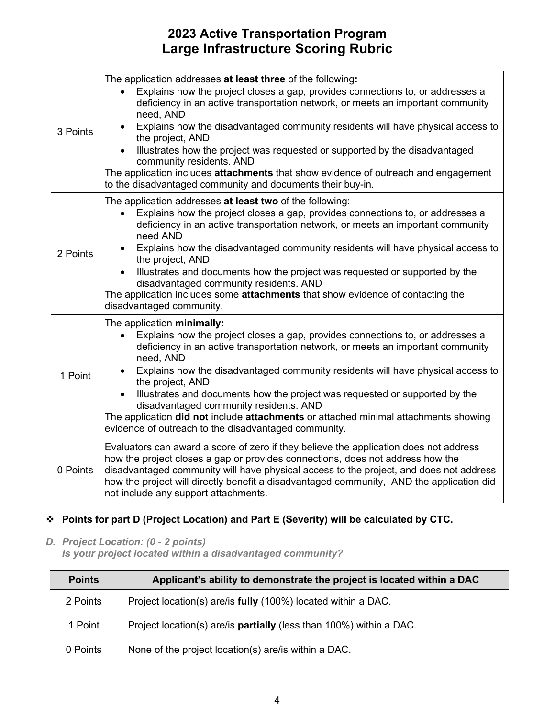| 3 Points | The application addresses at least three of the following:<br>Explains how the project closes a gap, provides connections to, or addresses a<br>deficiency in an active transportation network, or meets an important community<br>need, AND<br>Explains how the disadvantaged community residents will have physical access to<br>the project, AND<br>Illustrates how the project was requested or supported by the disadvantaged<br>community residents. AND<br>The application includes attachments that show evidence of outreach and engagement<br>to the disadvantaged community and documents their buy-in. |
|----------|--------------------------------------------------------------------------------------------------------------------------------------------------------------------------------------------------------------------------------------------------------------------------------------------------------------------------------------------------------------------------------------------------------------------------------------------------------------------------------------------------------------------------------------------------------------------------------------------------------------------|
| 2 Points | The application addresses at least two of the following:<br>Explains how the project closes a gap, provides connections to, or addresses a<br>deficiency in an active transportation network, or meets an important community<br>need AND<br>Explains how the disadvantaged community residents will have physical access to<br>the project, AND<br>Illustrates and documents how the project was requested or supported by the<br>disadvantaged community residents. AND<br>The application includes some attachments that show evidence of contacting the<br>disadvantaged community.                            |
| 1 Point  | The application minimally:<br>Explains how the project closes a gap, provides connections to, or addresses a<br>deficiency in an active transportation network, or meets an important community<br>need, AND<br>Explains how the disadvantaged community residents will have physical access to<br>the project, AND<br>Illustrates and documents how the project was requested or supported by the<br>disadvantaged community residents. AND<br>The application did not include attachments or attached minimal attachments showing<br>evidence of outreach to the disadvantaged community.                        |
| 0 Points | Evaluators can award a score of zero if they believe the application does not address<br>how the project closes a gap or provides connections, does not address how the<br>disadvantaged community will have physical access to the project, and does not address<br>how the project will directly benefit a disadvantaged community, AND the application did<br>not include any support attachments.                                                                                                                                                                                                              |

### **Points for part D (Project Location) and Part E (Severity) will be calculated by CTC.**

 *D. Project Location: (0 - 2 points)* 

*Is your project located within a disadvantaged community?* 

| <b>Points</b> | Applicant's ability to demonstrate the project is located within a DAC |
|---------------|------------------------------------------------------------------------|
| 2 Points      | Project location(s) are/is fully (100%) located within a DAC.          |
| 1 Point       | Project location(s) are/is partially (less than 100%) within a DAC.    |
| 0 Points      | None of the project location(s) are/is within a DAC.                   |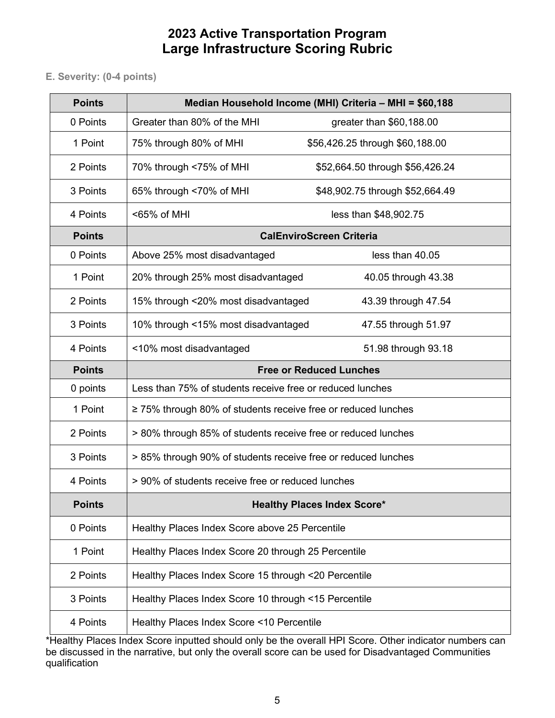E. Severity: (0-4 points)

| <b>Points</b> |                                                                    | Median Household Income (MHI) Criteria - MHI = \$60,188 |
|---------------|--------------------------------------------------------------------|---------------------------------------------------------|
| 0 Points      | Greater than 80% of the MHI                                        | greater than \$60,188.00                                |
| 1 Point       | 75% through 80% of MHI                                             | \$56,426.25 through \$60,188.00                         |
| 2 Points      | 70% through <75% of MHI                                            | \$52,664.50 through \$56,426.24                         |
| 3 Points      | 65% through <70% of MHI                                            | \$48,902.75 through \$52,664.49                         |
| 4 Points      | <65% of MHI                                                        | less than \$48,902.75                                   |
| <b>Points</b> |                                                                    | <b>CalEnviroScreen Criteria</b>                         |
| 0 Points      | Above 25% most disadvantaged                                       | less than 40.05                                         |
| 1 Point       | 20% through 25% most disadvantaged                                 | 40.05 through 43.38                                     |
| 2 Points      | 15% through <20% most disadvantaged                                | 43.39 through 47.54                                     |
| 3 Points      | 10% through <15% most disadvantaged                                | 47.55 through 51.97                                     |
| 4 Points      | <10% most disadvantaged                                            | 51.98 through 93.18                                     |
| <b>Points</b> |                                                                    | <b>Free or Reduced Lunches</b>                          |
| 0 points      | Less than 75% of students receive free or reduced lunches          |                                                         |
| 1 Point       | $\geq$ 75% through 80% of students receive free or reduced lunches |                                                         |
| 2 Points      | > 80% through 85% of students receive free or reduced lunches      |                                                         |
| 3 Points      | > 85% through 90% of students receive free or reduced lunches      |                                                         |
| 4 Points      | > 90% of students receive free or reduced lunches                  |                                                         |
| <b>Points</b> |                                                                    | <b>Healthy Places Index Score*</b>                      |
| 0 Points      | Healthy Places Index Score above 25 Percentile                     |                                                         |
| 1 Point       | Healthy Places Index Score 20 through 25 Percentile                |                                                         |
| 2 Points      | Healthy Places Index Score 15 through <20 Percentile               |                                                         |
| 3 Points      | Healthy Places Index Score 10 through <15 Percentile               |                                                         |
|               |                                                                    |                                                         |

\*Healthy Places Index Score inputted should only be the overall HPI Score. Other indicator numbers can be discussed in the narrative, but only the overall score can be used for Disadvantaged Communities qualification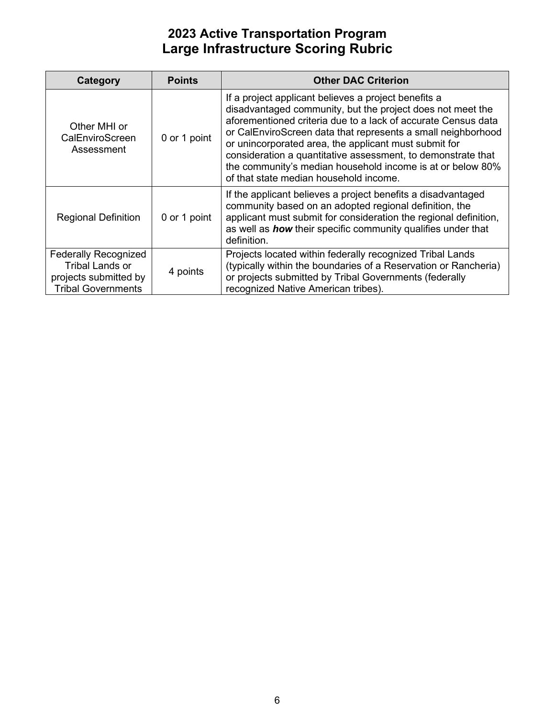| Category                                                                                                    | <b>Points</b> | <b>Other DAC Criterion</b>                                                                                                                                                                                                                                                                                                                                                                                                                                                           |
|-------------------------------------------------------------------------------------------------------------|---------------|--------------------------------------------------------------------------------------------------------------------------------------------------------------------------------------------------------------------------------------------------------------------------------------------------------------------------------------------------------------------------------------------------------------------------------------------------------------------------------------|
| Other MHI or<br>CalEnviroScreen<br>Assessment                                                               | 0 or 1 point  | If a project applicant believes a project benefits a<br>disadvantaged community, but the project does not meet the<br>aforementioned criteria due to a lack of accurate Census data<br>or CalEnviroScreen data that represents a small neighborhood<br>or unincorporated area, the applicant must submit for<br>consideration a quantitative assessment, to demonstrate that<br>the community's median household income is at or below 80%<br>of that state median household income. |
| <b>Regional Definition</b>                                                                                  | 0 or 1 point  | If the applicant believes a project benefits a disadvantaged<br>community based on an adopted regional definition, the<br>applicant must submit for consideration the regional definition,<br>as well as <b>how</b> their specific community qualifies under that<br>definition.                                                                                                                                                                                                     |
| <b>Federally Recognized</b><br><b>Tribal Lands or</b><br>projects submitted by<br><b>Tribal Governments</b> | 4 points      | Projects located within federally recognized Tribal Lands<br>(typically within the boundaries of a Reservation or Rancheria)<br>or projects submitted by Tribal Governments (federally<br>recognized Native American tribes).                                                                                                                                                                                                                                                        |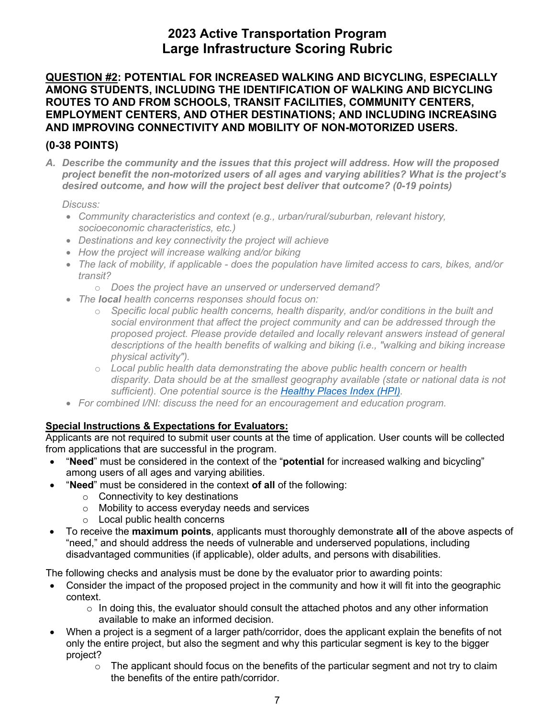#### **ROUTES TO AND FROM SCHOOLS, TRANSIT FACILITIES, COMMUNITY CENTERS, QUESTION #2: POTENTIAL FOR INCREASED WALKING AND BICYCLING, ESPECIALLY AMONG STUDENTS, INCLUDING THE IDENTIFICATION OF WALKING AND BICYCLING EMPLOYMENT CENTERS, AND OTHER DESTINATIONS; AND INCLUDING INCREASING AND IMPROVING CONNECTIVITY AND MOBILITY OF NON-MOTORIZED USERS.**

### **(0-38 POINTS)**

 *A. Describe the community and the issues that this project will address. How will the proposed desired outcome, and how will the project best deliver that outcome? (0-19 points) project benefit the non-motorized users of all ages and varying abilities? What is the project's* 

#### *Discuss:*

- *Community characteristics and context (e.g., urban/rural/suburban, relevant history, socioeconomic characteristics, etc.)*
- *Destinations and key connectivity the project will achieve*
- *How the project will increase walking and/or biking*
- The lack of mobility, if applicable does the population have limited access to cars, bikes, and/or *transit?* 
	- o *Does the project have an unserved or underserved demand?*
- *The local health concerns responses should focus on:* 
	- *social environment that affect the project community and can be addressed through the*  o *Specific local public health concerns, health disparity, and/or conditions in the built and proposed project. Please provide detailed and locally relevant answers instead of general descriptions of the health benefits of walking and biking (i.e., "walking and biking increase physical activity").*
	- o *Local public health data demonstrating the above public health concern or health disparity. Data should be at the smallest geography available (state or national data is not sufficient). One potential source is the [Healthy Places Index \(HPI\).](http://healthyplacesindex.org/)*
- *For combined I/NI: discuss the need for an encouragement and education program.*

#### **Special Instructions & Expectations for Evaluators:**

Applicants are not required to submit user counts at the time of application. User counts will be collected from applications that are successful in the program.

- "**Need**" must be considered in the context of the "**potential** for increased walking and bicycling" among users of all ages and varying abilities.
- • "**Need**" must be considered in the context **of all** of the following:
	- $\circ$  Connectivity to key destinations
	- o Mobility to access everyday needs and services
	- $\circ$  Local public health concerns
- • To receive the **maximum points**, applicants must thoroughly demonstrate **all** of the above aspects of "need," and should address the needs of vulnerable and underserved populations, including disadvantaged communities (if applicable), older adults, and persons with disabilities.

- Consider the impact of the proposed project in the community and how it will fit into the geographic context.
	- $\circ$  In doing this, the evaluator should consult the attached photos and any other information available to make an informed decision.
- only the entire project, but also the segment and why this particular segment is key to the bigger • When a project is a segment of a larger path/corridor, does the applicant explain the benefits of not project?
	- $\circ$  The applicant should focus on the benefits of the particular segment and not try to claim the benefits of the entire path/corridor.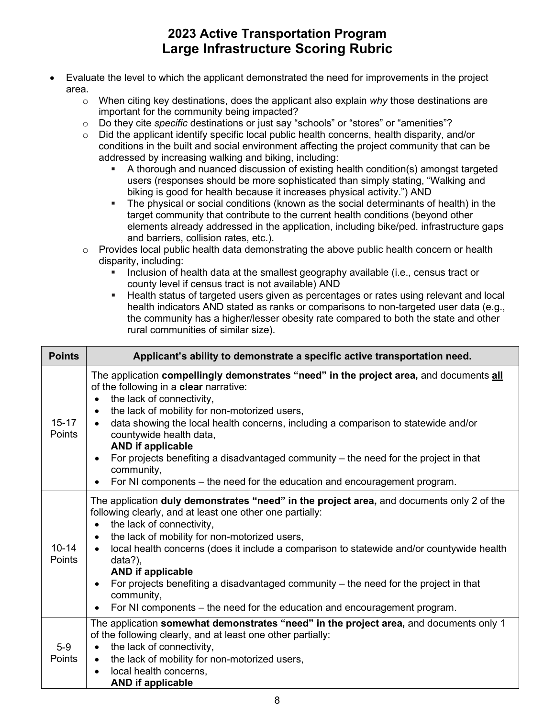- Evaluate the level to which the applicant demonstrated the need for improvements in the project area.
	- o When citing key destinations, does the applicant also explain *why* those destinations are important for the community being impacted?
	- o Do they cite *specific* destinations or just say "schools" or "stores" or "amenities"?
	- conditions in the built and social environment affecting the project community that can be  $\circ$  Did the applicant identify specific local public health concerns, health disparity, and/or addressed by increasing walking and biking, including:
		- biking is good for health because it increases physical activity.") AND A thorough and nuanced discussion of existing health condition(s) amongst targeted users (responses should be more sophisticated than simply stating, "Walking and
		- The physical or social conditions (known as the social determinants of health) in the target community that contribute to the current health conditions (beyond other elements already addressed in the application, including bike/ped. infrastructure gaps and barriers, collision rates, etc.).
	- o Provides local public health data demonstrating the above public health concern or health disparity, including:
		- Inclusion of health data at the smallest geography available (i.e., census tract or county level if census tract is not available) AND
		- Health status of targeted users given as percentages or rates using relevant and local health indicators AND stated as ranks or comparisons to non-targeted user data (e.g., the community has a higher/lesser obesity rate compared to both the state and other rural communities of similar size).

| <b>Points</b>       | Applicant's ability to demonstrate a specific active transportation need.                                                                                                                                                                                                                                                                                                                                                                                                                                                                                                                                                   |
|---------------------|-----------------------------------------------------------------------------------------------------------------------------------------------------------------------------------------------------------------------------------------------------------------------------------------------------------------------------------------------------------------------------------------------------------------------------------------------------------------------------------------------------------------------------------------------------------------------------------------------------------------------------|
| $15 - 17$<br>Points | The application compellingly demonstrates "need" in the project area, and documents all<br>of the following in a clear narrative:<br>the lack of connectivity,<br>$\bullet$<br>the lack of mobility for non-motorized users,<br>$\bullet$<br>data showing the local health concerns, including a comparison to statewide and/or<br>$\bullet$<br>countywide health data,<br><b>AND if applicable</b><br>For projects benefiting a disadvantaged community $-$ the need for the project in that<br>$\bullet$<br>community,<br>For NI components - the need for the education and encouragement program.<br>$\bullet$          |
| $10 - 14$<br>Points | The application duly demonstrates "need" in the project area, and documents only 2 of the<br>following clearly, and at least one other one partially:<br>the lack of connectivity,<br>$\bullet$<br>the lack of mobility for non-motorized users,<br>$\bullet$<br>local health concerns (does it include a comparison to statewide and/or countywide health<br>$\bullet$<br>data?),<br><b>AND if applicable</b><br>For projects benefiting a disadvantaged community – the need for the project in that<br>$\bullet$<br>community,<br>For NI components – the need for the education and encouragement program.<br>$\bullet$ |
| $5-9$<br>Points     | The application somewhat demonstrates "need" in the project area, and documents only 1<br>of the following clearly, and at least one other partially:<br>the lack of connectivity,<br>$\bullet$<br>the lack of mobility for non-motorized users,<br>$\bullet$<br>local health concerns,<br>$\bullet$<br><b>AND if applicable</b>                                                                                                                                                                                                                                                                                            |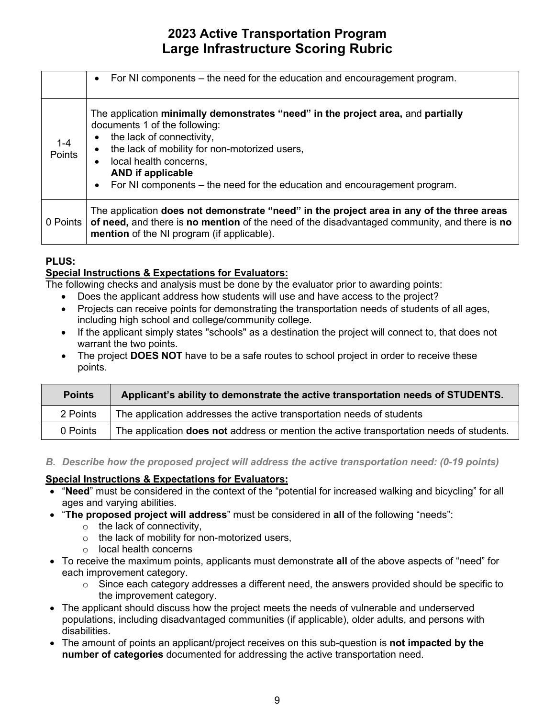|                   | For NI components – the need for the education and encouragement program.<br>$\bullet$                                                                                                                                                                                                                                                                                                 |
|-------------------|----------------------------------------------------------------------------------------------------------------------------------------------------------------------------------------------------------------------------------------------------------------------------------------------------------------------------------------------------------------------------------------|
| $1 - 4$<br>Points | The application minimally demonstrates "need" in the project area, and partially<br>documents 1 of the following:<br>the lack of connectivity,<br>$\bullet$<br>the lack of mobility for non-motorized users,<br>$\bullet$<br>local health concerns.<br>$\bullet$<br><b>AND if applicable</b><br>For NI components – the need for the education and encouragement program.<br>$\bullet$ |
| 0 Points          | The application does not demonstrate "need" in the project area in any of the three areas<br>of need, and there is no mention of the need of the disadvantaged community, and there is no<br>mention of the NI program (if applicable).                                                                                                                                                |

#### **PLUS:**

### **Special Instructions & Expectations for Evaluators:**

The following checks and analysis must be done by the evaluator prior to awarding points:

- Does the applicant address how students will use and have access to the project?
- Projects can receive points for demonstrating the transportation needs of students of all ages, including high school and college/community college.
- • If the applicant simply states "schools" as a destination the project will connect to, that does not warrant the two points.
- • The project **DOES NOT** have to be a safe routes to school project in order to receive these points.

| <b>Points</b> | Applicant's ability to demonstrate the active transportation needs of STUDENTS.          |
|---------------|------------------------------------------------------------------------------------------|
| 2 Points      | The application addresses the active transportation needs of students                    |
| 0 Points      | The application does not address or mention the active transportation needs of students. |

*B. Describe how the proposed project will address the active transportation need: (0-19 points)* 

#### **Special Instructions & Expectations for Evaluators:**

- "**Need**" must be considered in the context of the "potential for increased walking and bicycling" for all ages and varying abilities.
- "**The proposed project will address**" must be considered in **all** of the following "needs":
	- $\circ$  the lack of connectivity,
	- $\circ$  the lack of mobility for non-motorized users,
	- o local health concerns
- • To receive the maximum points, applicants must demonstrate **all** of the above aspects of "need" for each improvement category.
	- $\circ$  Since each category addresses a different need, the answers provided should be specific to the improvement category.
- The applicant should discuss how the project meets the needs of vulnerable and underserved populations, including disadvantaged communities (if applicable), older adults, and persons with disabilities.
- The amount of points an applicant/project receives on this sub-question is **not impacted by the number of categories** documented for addressing the active transportation need.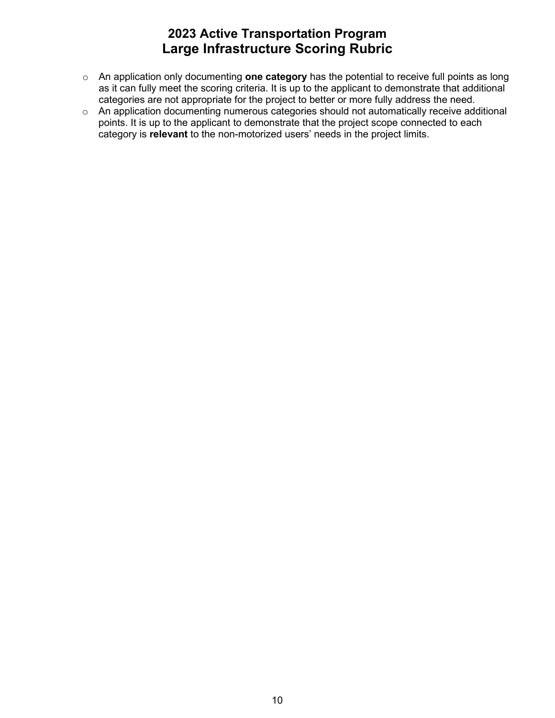- o An application only documenting **one category** has the potential to receive full points as long as it can fully meet the scoring criteria. It is up to the applicant to demonstrate that additional categories are not appropriate for the project to better or more fully address the need.
- points. It is up to the applicant to demonstrate that the project scope connected to each o An application documenting numerous categories should not automatically receive additional category is **relevant** to the non-motorized users' needs in the project limits.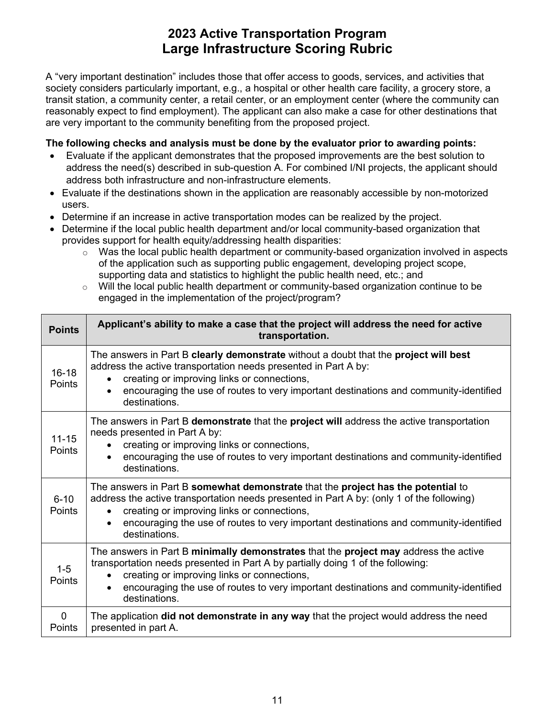A "very important destination" includes those that offer access to goods, services, and activities that society considers particularly important, e.g., a hospital or other health care facility, a grocery store, a transit station, a community center, a retail center, or an employment center (where the community can reasonably expect to find employment). The applicant can also make a case for other destinations that are very important to the community benefiting from the proposed project.

- • Evaluate if the applicant demonstrates that the proposed improvements are the best solution to address the need(s) described in sub-question A. For combined I/NI projects, the applicant should address both infrastructure and non-infrastructure elements.
- Evaluate if the destinations shown in the application are reasonably accessible by non-motorized users.
- Determine if an increase in active transportation modes can be realized by the project.
- provides support for health equity/addressing health disparities: • Determine if the local public health department and/or local community-based organization that
	- supporting data and statistics to highlight the public health need, etc.; and  $\circ$  Was the local public health department or community-based organization involved in aspects of the application such as supporting public engagement, developing project scope,
	- $\circ$  Will the local public health department or community-based organization continue to be engaged in the implementation of the project/program?

| <b>Points</b>         | Applicant's ability to make a case that the project will address the need for active<br>transportation.                                                                                                                                                                                                                                |
|-----------------------|----------------------------------------------------------------------------------------------------------------------------------------------------------------------------------------------------------------------------------------------------------------------------------------------------------------------------------------|
| $16 - 18$<br>Points   | The answers in Part B clearly demonstrate without a doubt that the project will best<br>address the active transportation needs presented in Part A by:<br>creating or improving links or connections,<br>encouraging the use of routes to very important destinations and community-identified<br>destinations.                       |
| $11 - 15$<br>Points   | The answers in Part B demonstrate that the project will address the active transportation<br>needs presented in Part A by:<br>creating or improving links or connections,<br>encouraging the use of routes to very important destinations and community-identified<br>destinations.                                                    |
| $6 - 10$<br>Points    | The answers in Part B somewhat demonstrate that the project has the potential to<br>address the active transportation needs presented in Part A by: (only 1 of the following)<br>creating or improving links or connections,<br>encouraging the use of routes to very important destinations and community-identified<br>destinations. |
| $1 - 5$<br>Points     | The answers in Part B minimally demonstrates that the project may address the active<br>transportation needs presented in Part A by partially doing 1 of the following:<br>creating or improving links or connections,<br>encouraging the use of routes to very important destinations and community-identified<br>destinations.       |
| $\mathbf 0$<br>Points | The application did not demonstrate in any way that the project would address the need<br>presented in part A.                                                                                                                                                                                                                         |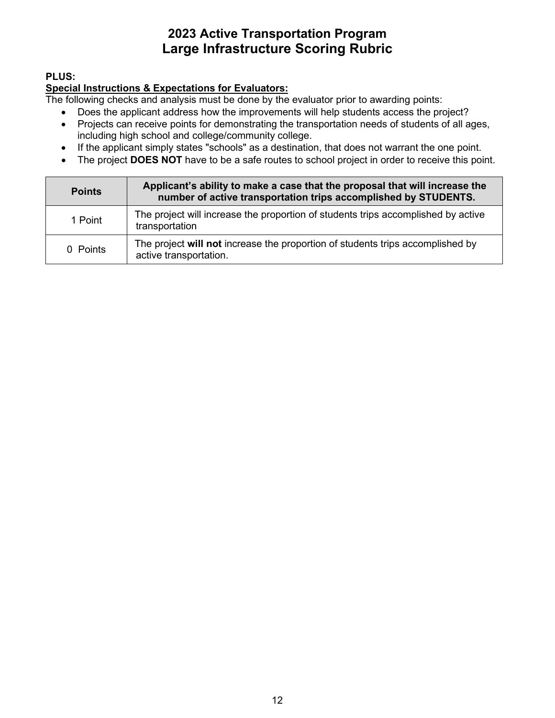### **PLUS:**

### **Special Instructions & Expectations for Evaluators:**

- Does the applicant address how the improvements will help students access the project?
- Projects can receive points for demonstrating the transportation needs of students of all ages, including high school and college/community college.
- If the applicant simply states "schools" as a destination, that does not warrant the one point.
- The project **DOES NOT** have to be a safe routes to school project in order to receive this point.

| <b>Points</b> | Applicant's ability to make a case that the proposal that will increase the<br>number of active transportation trips accomplished by STUDENTS. |
|---------------|------------------------------------------------------------------------------------------------------------------------------------------------|
| 1 Point       | The project will increase the proportion of students trips accomplished by active<br>transportation                                            |
| 0 Points      | The project will not increase the proportion of students trips accomplished by<br>active transportation.                                       |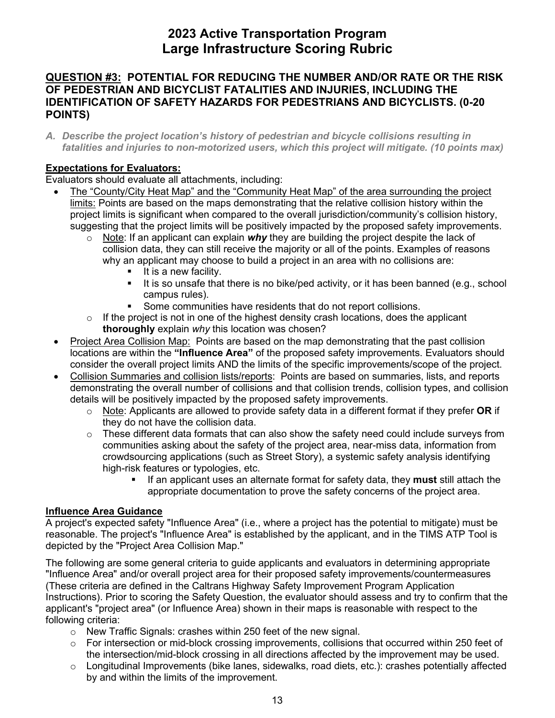#### **QUESTION #3: POTENTIAL FOR REDUCING THE NUMBER AND/OR RATE OR THE RISK OF PEDESTRIAN AND BICYCLIST FATALITIES AND INJURIES, INCLUDING THE IDENTIFICATION OF SAFETY HAZARDS FOR PEDESTRIANS AND BICYCLISTS. (0-20 POINTS)**

 *A. Describe the project location's history of pedestrian and bicycle collisions resulting in fatalities and injuries to non-motorized users, which this project will mitigate. (10 points max)* 

### **Expectations for Evaluators:**

Evaluators should evaluate all attachments, including:

- The "County/City Heat Map" and the "Community Heat Map" of the area surrounding the project limits: Points are based on the maps demonstrating that the relative collision history within the project limits is significant when compared to the overall jurisdiction/community's collision history, suggesting that the project limits will be positively impacted by the proposed safety improvements.
	- o Note: If an applicant can explain *why* they are building the project despite the lack of collision data, they can still receive the majority or all of the points. Examples of reasons why an applicant may choose to build a project in an area with no collisions are:
		- **If is a new facility.**
		- It is so unsafe that there is no bike/ped activity, or it has been banned (e.g., school campus rules).
		- **Some communities have residents that do not report collisions.**
	- $\circ$  If the project is not in one of the highest density crash locations, does the applicant **thoroughly** explain *why* this location was chosen?
- Project Area Collision Map: Points are based on the map demonstrating that the past collision consider the overall project limits AND the limits of the specific improvements/scope of the project. locations are within the **"Influence Area"** of the proposed safety improvements. Evaluators should
- Collision Summaries and collision lists/reports: Points are based on summaries, lists, and reports demonstrating the overall number of collisions and that collision trends, collision types, and collision details will be positively impacted by the proposed safety improvements.
	- o Note: Applicants are allowed to provide safety data in a different format if they prefer **OR** if they do not have the collision data.
	- o These different data formats that can also show the safety need could include surveys from communities asking about the safety of the project area, near-miss data, information from crowdsourcing applications (such as Street Story), a systemic safety analysis identifying high-risk features or typologies, etc.
		- If an applicant uses an alternate format for safety data, they **must** still attach the appropriate documentation to prove the safety concerns of the project area.

#### **Influence Area Guidance**

 A project's expected safety "Influence Area" (i.e., where a project has the potential to mitigate) must be depicted by the "Project Area Collision Map." reasonable. The project's "Influence Area" is established by the applicant, and in the TIMS ATP Tool is

The following are some general criteria to guide applicants and evaluators in determining appropriate "Influence Area" and/or overall project area for their proposed safety improvements/countermeasures (These criteria are defined in the Caltrans Highway Safety Improvement Program Application Instructions). Prior to scoring the Safety Question, the evaluator should assess and try to confirm that the applicant's "project area" (or Influence Area) shown in their maps is reasonable with respect to the following criteria:

- o New Traffic Signals: crashes within 250 feet of the new signal.
- the intersection/mid-block crossing in all directions affected by the improvement may be used. o For intersection or mid-block crossing improvements, collisions that occurred within 250 feet of
- $\circ$  Longitudinal Improvements (bike lanes, sidewalks, road diets, etc.): crashes potentially affected by and within the limits of the improvement.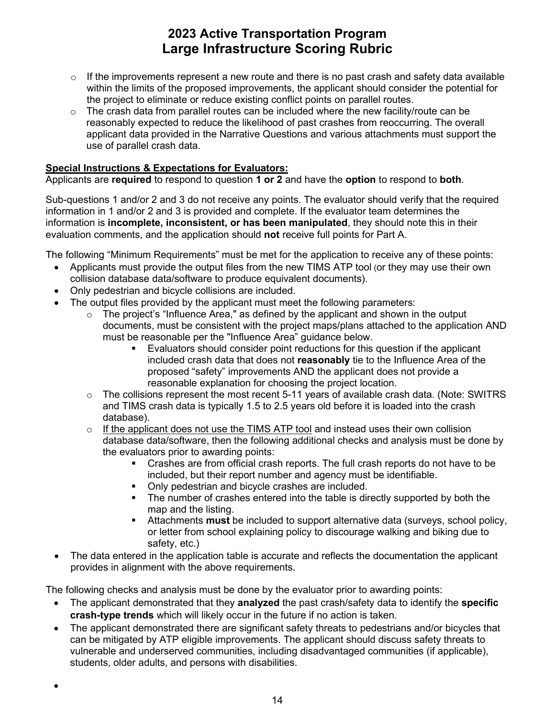- the project to eliminate or reduce existing conflict points on parallel routes.  $\circ$  If the improvements represent a new route and there is no past crash and safety data available within the limits of the proposed improvements, the applicant should consider the potential for
- $\circ$  The crash data from parallel routes can be included where the new facility/route can be reasonably expected to reduce the likelihood of past crashes from reoccurring. The overall applicant data provided in the Narrative Questions and various attachments must support the use of parallel crash data.

#### **Special Instructions & Expectations for Evaluators:**

Applicants are **required** to respond to question **1 or 2** and have the **option** to respond to **both**.

 information is **incomplete, inconsistent, or has been manipulated**, they should note this in their evaluation comments, and the application should **not** receive full points for Part A. Sub-questions 1 and/or 2 and 3 do not receive any points. The evaluator should verify that the required information in 1 and/or 2 and 3 is provided and complete. If the evaluator team determines the

The following "Minimum Requirements" must be met for the application to receive any of these points:

- • Applicants must provide the output files from the new TIMS ATP tool (or they may use their own collision database data/software to produce equivalent documents).
- Only pedestrian and bicycle collisions are included.
- • The output files provided by the applicant must meet the following parameters:
	- documents, must be consistent with the project maps/plans attached to the application AND must be reasonable per the "Influence Area" guidance below.  $\circ$  The project's "Influence Area," as defined by the applicant and shown in the output
		- included crash data that does not **reasonably** tie to the Influence Area of the Evaluators should consider point reductions for this question if the applicant proposed "safety" improvements AND the applicant does not provide a reasonable explanation for choosing the project location.
	- $\circ$  The collisions represent the most recent 5-11 years of available crash data. (Note: SWITRS and TIMS crash data is typically 1.5 to 2.5 years old before it is loaded into the crash database).
	- $\circ$  If the applicant does not use the TIMS ATP tool and instead uses their own collision database data/software, then the following additional checks and analysis must be done by the evaluators prior to awarding points:
		- included, but their report number and agency must be identifiable. Crashes are from official crash reports. The full crash reports do not have to be
		- Only pedestrian and bicycle crashes are included.
		- The number of crashes entered into the table is directly supported by both the map and the listing.
		- Attachments **must** be included to support alternative data (surveys, school policy, or letter from school explaining policy to discourage walking and biking due to safety, etc.)
- The data entered in the application table is accurate and reflects the documentation the applicant provides in alignment with the above requirements.

The following checks and analysis must be done by the evaluator prior to awarding points:

- • The applicant demonstrated that they **analyzed** the past crash/safety data to identify the **specific crash-type trends** which will likely occur in the future if no action is taken.
- The applicant demonstrated there are significant safety threats to pedestrians and/or bicycles that can be mitigated by ATP eligible improvements. The applicant should discuss safety threats to vulnerable and underserved communities, including disadvantaged communities (if applicable), students, older adults, and persons with disabilities.

•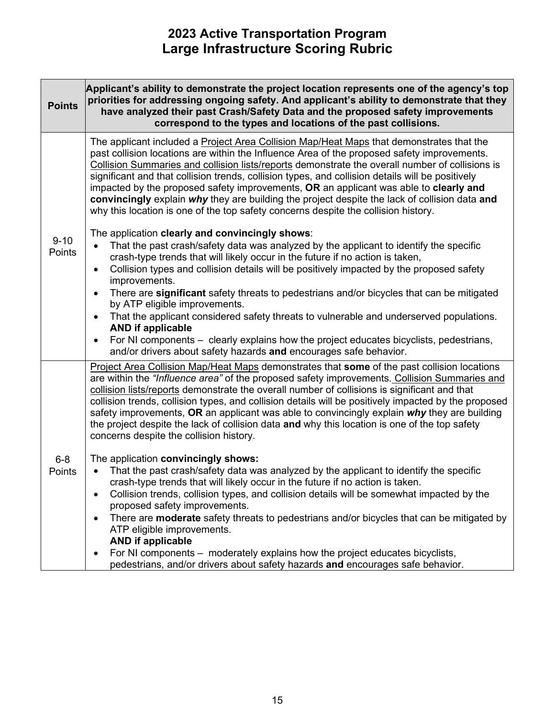| <b>Points</b>      | Applicant's ability to demonstrate the project location represents one of the agency's top<br>priorities for addressing ongoing safety. And applicant's ability to demonstrate that they<br>have analyzed their past Crash/Safety Data and the proposed safety improvements<br>correspond to the types and locations of the past collisions.                                                                                                                                                                                                                                                                                                                                                                                                                                                                                 |
|--------------------|------------------------------------------------------------------------------------------------------------------------------------------------------------------------------------------------------------------------------------------------------------------------------------------------------------------------------------------------------------------------------------------------------------------------------------------------------------------------------------------------------------------------------------------------------------------------------------------------------------------------------------------------------------------------------------------------------------------------------------------------------------------------------------------------------------------------------|
| $9 - 10$<br>Points | The applicant included a Project Area Collision Map/Heat Maps that demonstrates that the<br>past collision locations are within the Influence Area of the proposed safety improvements.<br>Collision Summaries and collision lists/reports demonstrate the overall number of collisions is<br>significant and that collision trends, collision types, and collision details will be positively<br>impacted by the proposed safety improvements, OR an applicant was able to clearly and<br>convincingly explain why they are building the project despite the lack of collision data and<br>why this location is one of the top safety concerns despite the collision history.                                                                                                                                               |
|                    | The application clearly and convincingly shows:<br>That the past crash/safety data was analyzed by the applicant to identify the specific<br>$\bullet$<br>crash-type trends that will likely occur in the future if no action is taken,<br>Collision types and collision details will be positively impacted by the proposed safety<br>$\bullet$<br>improvements.<br>There are significant safety threats to pedestrians and/or bicycles that can be mitigated<br>$\bullet$<br>by ATP eligible improvements.<br>That the applicant considered safety threats to vulnerable and underserved populations.<br>$\bullet$<br><b>AND if applicable</b><br>For NI components – clearly explains how the project educates bicyclists, pedestrians,<br>$\bullet$<br>and/or drivers about safety hazards and encourages safe behavior. |
|                    | Project Area Collision Map/Heat Maps demonstrates that some of the past collision locations<br>are within the "Influence area" of the proposed safety improvements. Collision Summaries and<br>collision lists/reports demonstrate the overall number of collisions is significant and that<br>collision trends, collision types, and collision details will be positively impacted by the proposed<br>safety improvements, OR an applicant was able to convincingly explain why they are building<br>the project despite the lack of collision data and why this location is one of the top safety<br>concerns despite the collision history.                                                                                                                                                                               |
| $6 - 8$<br>Points  | The application convincingly shows:<br>That the past crash/safety data was analyzed by the applicant to identify the specific<br>crash-type trends that will likely occur in the future if no action is taken.<br>Collision trends, collision types, and collision details will be somewhat impacted by the<br>$\bullet$<br>proposed safety improvements.<br>There are <b>moderate</b> safety threats to pedestrians and/or bicycles that can be mitigated by<br>$\bullet$<br>ATP eligible improvements.<br><b>AND if applicable</b><br>For NI components – moderately explains how the project educates bicyclists,<br>٠<br>pedestrians, and/or drivers about safety hazards and encourages safe behavior.                                                                                                                  |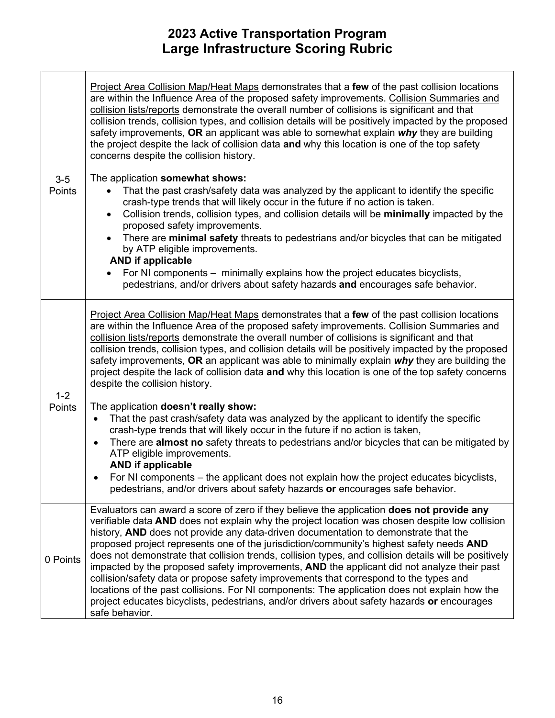|                   | Project Area Collision Map/Heat Maps demonstrates that a few of the past collision locations<br>are within the Influence Area of the proposed safety improvements. Collision Summaries and<br>collision lists/reports demonstrate the overall number of collisions is significant and that<br>collision trends, collision types, and collision details will be positively impacted by the proposed<br>safety improvements, OR an applicant was able to somewhat explain $why$ they are building<br>the project despite the lack of collision data and why this location is one of the top safety<br>concerns despite the collision history.<br>The application somewhat shows:                                                                                                                                                                                                                   |
|-------------------|--------------------------------------------------------------------------------------------------------------------------------------------------------------------------------------------------------------------------------------------------------------------------------------------------------------------------------------------------------------------------------------------------------------------------------------------------------------------------------------------------------------------------------------------------------------------------------------------------------------------------------------------------------------------------------------------------------------------------------------------------------------------------------------------------------------------------------------------------------------------------------------------------|
| $3-5$<br>Points   | That the past crash/safety data was analyzed by the applicant to identify the specific<br>crash-type trends that will likely occur in the future if no action is taken.<br>Collision trends, collision types, and collision details will be minimally impacted by the<br>$\bullet$<br>proposed safety improvements.<br>There are minimal safety threats to pedestrians and/or bicycles that can be mitigated<br>by ATP eligible improvements.<br><b>AND if applicable</b><br>For NI components – minimally explains how the project educates bicyclists,<br>pedestrians, and/or drivers about safety hazards and encourages safe behavior.                                                                                                                                                                                                                                                       |
|                   |                                                                                                                                                                                                                                                                                                                                                                                                                                                                                                                                                                                                                                                                                                                                                                                                                                                                                                  |
|                   | Project Area Collision Map/Heat Maps demonstrates that a few of the past collision locations<br>are within the Influence Area of the proposed safety improvements. Collision Summaries and<br>collision lists/reports demonstrate the overall number of collisions is significant and that<br>collision trends, collision types, and collision details will be positively impacted by the proposed<br>safety improvements, OR an applicant was able to minimally explain why they are building the<br>project despite the lack of collision data and why this location is one of the top safety concerns<br>despite the collision history.                                                                                                                                                                                                                                                       |
| $1 - 2$<br>Points | The application doesn't really show:<br>That the past crash/safety data was analyzed by the applicant to identify the specific<br>$\bullet$<br>crash-type trends that will likely occur in the future if no action is taken,<br>There are <b>almost no</b> safety threats to pedestrians and/or bicycles that can be mitigated by<br>$\bullet$<br>ATP eligible improvements.<br><b>AND if applicable</b><br>For NI components – the applicant does not explain how the project educates bicyclists,                                                                                                                                                                                                                                                                                                                                                                                              |
|                   | pedestrians, and/or drivers about safety hazards or encourages safe behavior.                                                                                                                                                                                                                                                                                                                                                                                                                                                                                                                                                                                                                                                                                                                                                                                                                    |
| 0 Points          | Evaluators can award a score of zero if they believe the application does not provide any<br>verifiable data AND does not explain why the project location was chosen despite low collision<br>history, AND does not provide any data-driven documentation to demonstrate that the<br>proposed project represents one of the jurisdiction/community's highest safety needs AND<br>does not demonstrate that collision trends, collision types, and collision details will be positively<br>impacted by the proposed safety improvements, AND the applicant did not analyze their past<br>collision/safety data or propose safety improvements that correspond to the types and<br>locations of the past collisions. For NI components: The application does not explain how the<br>project educates bicyclists, pedestrians, and/or drivers about safety hazards or encourages<br>safe behavior. |
|                   |                                                                                                                                                                                                                                                                                                                                                                                                                                                                                                                                                                                                                                                                                                                                                                                                                                                                                                  |
|                   |                                                                                                                                                                                                                                                                                                                                                                                                                                                                                                                                                                                                                                                                                                                                                                                                                                                                                                  |
|                   |                                                                                                                                                                                                                                                                                                                                                                                                                                                                                                                                                                                                                                                                                                                                                                                                                                                                                                  |
|                   | 16                                                                                                                                                                                                                                                                                                                                                                                                                                                                                                                                                                                                                                                                                                                                                                                                                                                                                               |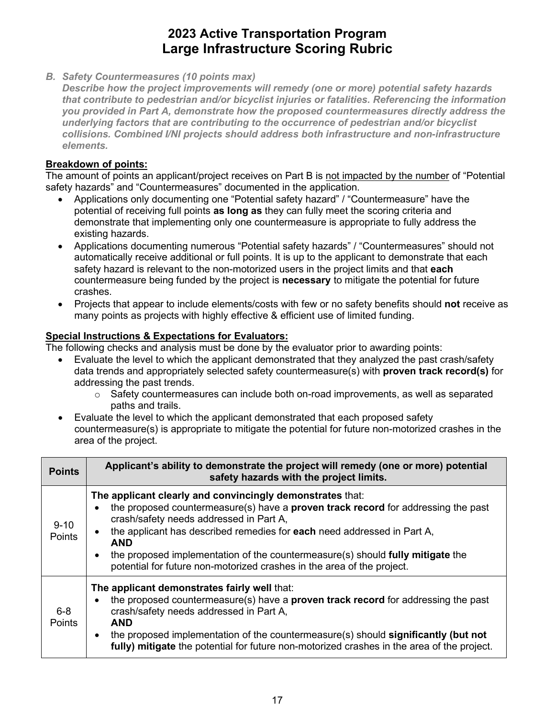*B. Safety Countermeasures (10 points max)* 

*Describe how the project improvements will remedy (one or more) potential safety hazards that contribute to pedestrian and/or bicyclist injuries or fatalities. Referencing the information you provided in Part A, demonstrate how the proposed countermeasures directly address the underlying factors that are contributing to the occurrence of pedestrian and/or bicyclist collisions. Combined I/NI projects should address both infrastructure and non-infrastructure elements.* 

### **Breakdown of points:**

The amount of points an applicant/project receives on Part B is not impacted by the number of "Potential safety hazards" and "Countermeasures" documented in the application.

- potential of receiving full points **as long as** they can fully meet the scoring criteria and • Applications only documenting one "Potential safety hazard" / "Countermeasure" have the demonstrate that implementing only one countermeasure is appropriate to fully address the existing hazards.
- • Applications documenting numerous "Potential safety hazards" / "Countermeasures" should not automatically receive additional or full points. It is up to the applicant to demonstrate that each crashes. safety hazard is relevant to the non-motorized users in the project limits and that **each**  countermeasure being funded by the project is **necessary** to mitigate the potential for future
- Projects that appear to include elements/costs with few or no safety benefits should **not** receive as many points as projects with highly effective & efficient use of limited funding.

#### **Special Instructions & Expectations for Evaluators:**

- • Evaluate the level to which the applicant demonstrated that they analyzed the past crash/safety data trends and appropriately selected safety countermeasure(s) with **proven track record(s)** for addressing the past trends.
	- o Safety countermeasures can include both on-road improvements, as well as separated paths and trails.
- area of the project. • Evaluate the level to which the applicant demonstrated that each proposed safety countermeasure(s) is appropriate to mitigate the potential for future non-motorized crashes in the

| <b>Points</b>      | Applicant's ability to demonstrate the project will remedy (one or more) potential<br>safety hazards with the project limits.                                                                                                                                                                                                                                                                                                                         |
|--------------------|-------------------------------------------------------------------------------------------------------------------------------------------------------------------------------------------------------------------------------------------------------------------------------------------------------------------------------------------------------------------------------------------------------------------------------------------------------|
| $9 - 10$<br>Points | The applicant clearly and convincingly demonstrates that:<br>the proposed countermeasure(s) have a <b>proven track record</b> for addressing the past<br>crash/safety needs addressed in Part A,<br>the applicant has described remedies for each need addressed in Part A,<br><b>AND</b><br>the proposed implementation of the countermeasure(s) should fully mitigate the<br>potential for future non-motorized crashes in the area of the project. |
| $6 - 8$<br>Points  | The applicant demonstrates fairly well that:<br>the proposed countermeasure(s) have a <b>proven track record</b> for addressing the past<br>crash/safety needs addressed in Part A,<br><b>AND</b><br>the proposed implementation of the countermeasure(s) should significantly (but not<br>fully) mitigate the potential for future non-motorized crashes in the area of the project.                                                                 |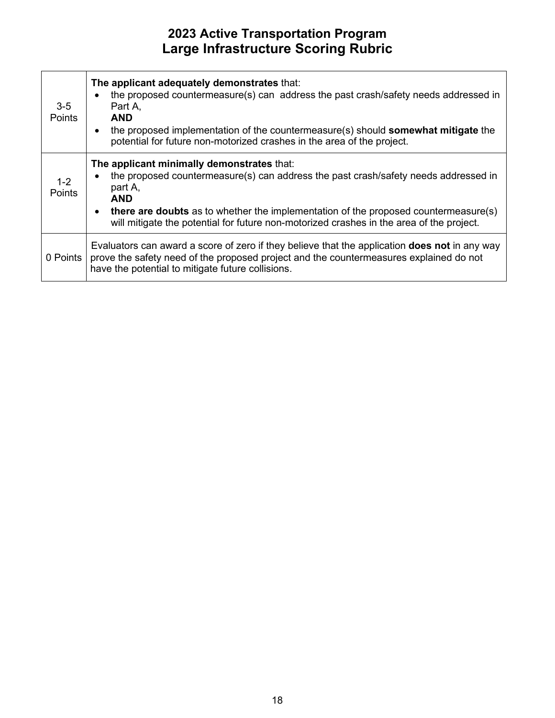| $3-5$<br><b>Points</b> | The applicant adequately demonstrates that:<br>the proposed countermeasure(s) can address the past crash/safety needs addressed in<br>Part A.<br><b>AND</b><br>the proposed implementation of the countermeasure(s) should <b>somewhat mitigate</b> the<br>potential for future non-motorized crashes in the area of the project.                    |
|------------------------|------------------------------------------------------------------------------------------------------------------------------------------------------------------------------------------------------------------------------------------------------------------------------------------------------------------------------------------------------|
| $1 - 2$<br>Points      | The applicant minimally demonstrates that:<br>the proposed countermeasure(s) can address the past crash/safety needs addressed in<br>part A,<br><b>AND</b><br><b>there are doubts</b> as to whether the implementation of the proposed countermeasure(s)<br>will mitigate the potential for future non-motorized crashes in the area of the project. |
| 0 Points               | Evaluators can award a score of zero if they believe that the application <b>does not</b> in any way<br>prove the safety need of the proposed project and the countermeasures explained do not<br>have the potential to mitigate future collisions.                                                                                                  |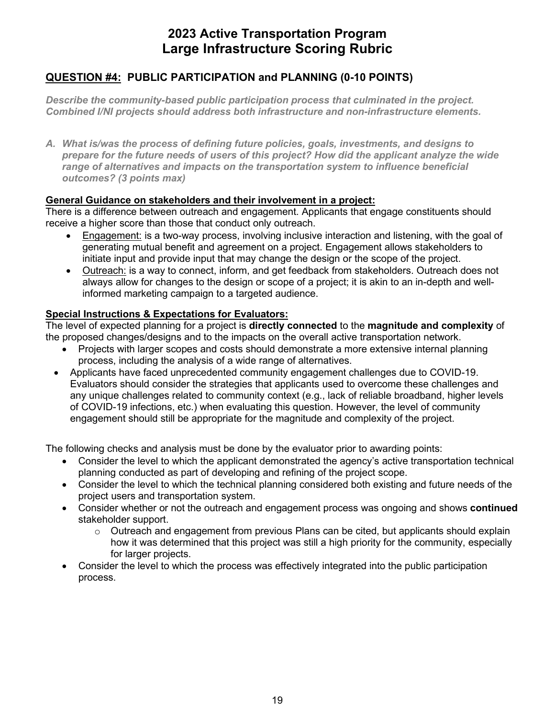### **QUESTION #4: PUBLIC PARTICIPATION and PLANNING (0-10 POINTS)**

*Describe the community-based public participation process that culminated in the project. Combined I/NI projects should address both infrastructure and non-infrastructure elements.* 

 *outcomes? (3 points max) A. What is/was the process of defining future policies, goals, investments, and designs to prepare for the future needs of users of this project? How did the applicant analyze the wide range of alternatives and impacts on the transportation system to influence beneficial* 

#### **General Guidance on stakeholders and their involvement in a project:**

 receive a higher score than those that conduct only outreach. There is a difference between outreach and engagement. Applicants that engage constituents should

- Engagement: is a two-way process, involving inclusive interaction and listening, with the goal of generating mutual benefit and agreement on a project. Engagement allows stakeholders to initiate input and provide input that may change the design or the scope of the project.
- Outreach: is a way to connect, inform, and get feedback from stakeholders. Outreach does not always allow for changes to the design or scope of a project; it is akin to an in-depth and wellinformed marketing campaign to a targeted audience.

#### **Special Instructions & Expectations for Evaluators:**

The level of expected planning for a project is **directly connected** to the **magnitude and complexity** of the proposed changes/designs and to the impacts on the overall active transportation network.

- Projects with larger scopes and costs should demonstrate a more extensive internal planning process, including the analysis of a wide range of alternatives.
- Applicants have faced unprecedented community engagement challenges due to COVID-19. Evaluators should consider the strategies that applicants used to overcome these challenges and any unique challenges related to community context (e.g., lack of reliable broadband, higher levels of COVID-19 infections, etc.) when evaluating this question. However, the level of community engagement should still be appropriate for the magnitude and complexity of the project.

- Consider the level to which the applicant demonstrated the agency's active transportation technical planning conducted as part of developing and refining of the project scope.
- Consider the level to which the technical planning considered both existing and future needs of the project users and transportation system.
- Consider whether or not the outreach and engagement process was ongoing and shows **continued**  stakeholder support.
	- how it was determined that this project was still a high priority for the community, especially  $\circ$  Outreach and engagement from previous Plans can be cited, but applicants should explain for larger projects.
- Consider the level to which the process was effectively integrated into the public participation process.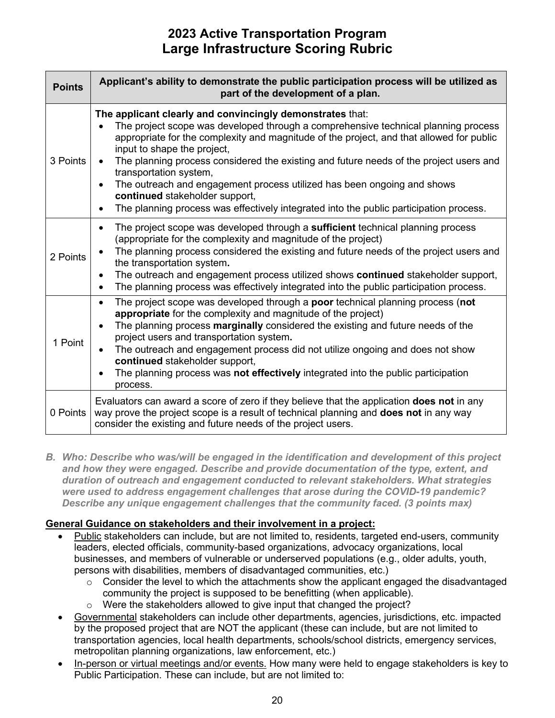| <b>Points</b> | Applicant's ability to demonstrate the public participation process will be utilized as<br>part of the development of a plan.                                                                                                                                                                                                                                                                                                                                                                                                                                                                                      |
|---------------|--------------------------------------------------------------------------------------------------------------------------------------------------------------------------------------------------------------------------------------------------------------------------------------------------------------------------------------------------------------------------------------------------------------------------------------------------------------------------------------------------------------------------------------------------------------------------------------------------------------------|
| 3 Points      | The applicant clearly and convincingly demonstrates that:<br>The project scope was developed through a comprehensive technical planning process<br>appropriate for the complexity and magnitude of the project, and that allowed for public<br>input to shape the project,<br>The planning process considered the existing and future needs of the project users and<br>transportation system,<br>The outreach and engagement process utilized has been ongoing and shows<br>continued stakeholder support,<br>The planning process was effectively integrated into the public participation process.<br>$\bullet$ |
| 2 Points      | The project scope was developed through a sufficient technical planning process<br>$\bullet$<br>(appropriate for the complexity and magnitude of the project)<br>The planning process considered the existing and future needs of the project users and<br>the transportation system.<br>The outreach and engagement process utilized shows <b>continued</b> stakeholder support,<br>$\bullet$<br>The planning process was effectively integrated into the public participation process.<br>$\bullet$                                                                                                              |
| 1 Point       | The project scope was developed through a poor technical planning process (not<br>$\bullet$<br>appropriate for the complexity and magnitude of the project)<br>The planning process marginally considered the existing and future needs of the<br>project users and transportation system.<br>The outreach and engagement process did not utilize ongoing and does not show<br>continued stakeholder support,<br>The planning process was not effectively integrated into the public participation<br>$\bullet$<br>process.                                                                                        |
| 0 Points      | Evaluators can award a score of zero if they believe that the application <b>does not</b> in any<br>way prove the project scope is a result of technical planning and does not in any way<br>consider the existing and future needs of the project users.                                                                                                                                                                                                                                                                                                                                                          |

 *and how they were engaged. Describe and provide documentation of the type, extent, and B. Who: Describe who was/will be engaged in the identification and development of this project duration of outreach and engagement conducted to relevant stakeholders. What strategies were used to address engagement challenges that arose during the COVID-19 pandemic? Describe any unique engagement challenges that the community faced. (3 points max)* 

#### **General Guidance on stakeholders and their involvement in a project:**

- Public stakeholders can include, but are not limited to, residents, targeted end-users, community leaders, elected officials, community-based organizations, advocacy organizations, local businesses, and members of vulnerable or underserved populations (e.g., older adults, youth, persons with disabilities, members of disadvantaged communities, etc.)
	- $\circ$  Consider the level to which the attachments show the applicant engaged the disadvantaged community the project is supposed to be benefitting (when applicable).
	- $\circ$  Were the stakeholders allowed to give input that changed the project?
- by the proposed project that are NOT the applicant (these can include, but are not limited to metropolitan planning organizations, law enforcement, etc.) • Governmental stakeholders can include other departments, agencies, jurisdictions, etc. impacted transportation agencies, local health departments, schools/school districts, emergency services,
- In-person or virtual meetings and/or events. How many were held to engage stakeholders is key to Public Participation. These can include, but are not limited to: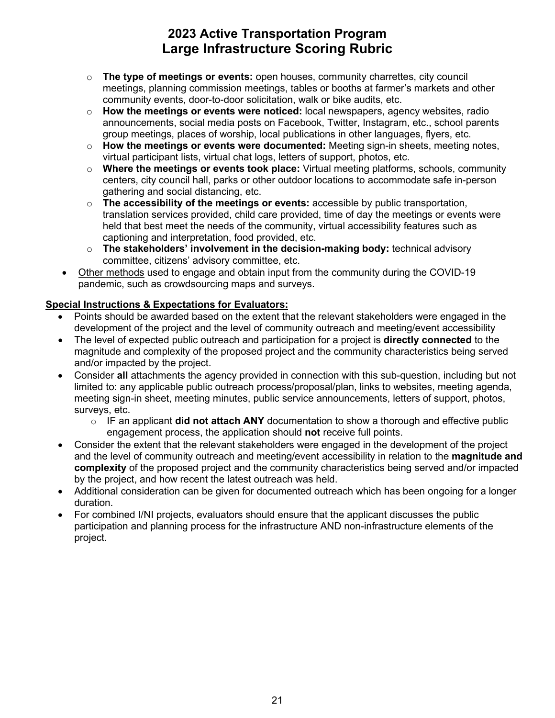- meetings, planning commission meetings, tables or booths at farmer's markets and other community events, door-to-door solicitation, walk or bike audits, etc. o **The type of meetings or events:** open houses, community charrettes, city council
- group meetings, places of worship, local publications in other languages, flyers, etc. o **How the meetings or events were noticed:** local newspapers, agency websites, radio announcements, social media posts on Facebook, Twitter, Instagram, etc., school parents
- virtual participant lists, virtual chat logs, letters of support, photos, etc. o **How the meetings or events were documented:** Meeting sign-in sheets, meeting notes,
- o **Where the meetings or events took place:** Virtual meeting platforms, schools, community centers, city council hall, parks or other outdoor locations to accommodate safe in-person gathering and social distancing, etc.
- captioning and interpretation, food provided, etc. o **The accessibility of the meetings or events:** accessible by public transportation, translation services provided, child care provided, time of day the meetings or events were held that best meet the needs of the community, virtual accessibility features such as
- o **The stakeholders' involvement in the decision-making body:** technical advisory committee, citizens' advisory committee, etc.
- Other methods used to engage and obtain input from the community during the COVID-19 pandemic, such as crowdsourcing maps and surveys.

### **Special Instructions & Expectations for Evaluators:**

- Points should be awarded based on the extent that the relevant stakeholders were engaged in the development of the project and the level of community outreach and meeting/event accessibility
- The level of expected public outreach and participation for a project is **directly connected** to the magnitude and complexity of the proposed project and the community characteristics being served and/or impacted by the project.
- surveys, etc. • Consider **all** attachments the agency provided in connection with this sub-question, including but not limited to: any applicable public outreach process/proposal/plan, links to websites, meeting agenda, meeting sign-in sheet, meeting minutes, public service announcements, letters of support, photos,
	- o IF an applicant **did not attach ANY** documentation to show a thorough and effective public engagement process, the application should **not** receive full points.
- • Consider the extent that the relevant stakeholders were engaged in the development of the project by the project, and how recent the latest outreach was held. and the level of community outreach and meeting/event accessibility in relation to the **magnitude and complexity** of the proposed project and the community characteristics being served and/or impacted
- Additional consideration can be given for documented outreach which has been ongoing for a longer duration.
- • For combined I/NI projects, evaluators should ensure that the applicant discusses the public participation and planning process for the infrastructure AND non-infrastructure elements of the project.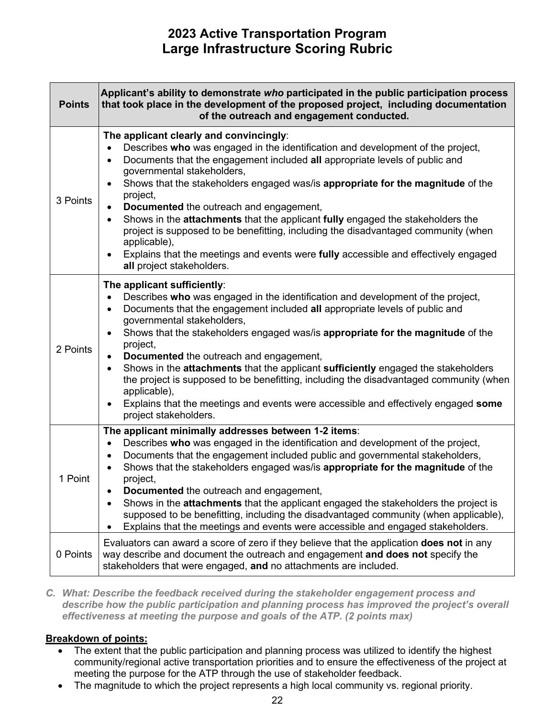| <b>Points</b> | Applicant's ability to demonstrate who participated in the public participation process<br>that took place in the development of the proposed project, including documentation<br>of the outreach and engagement conducted.                                                                                                                                                                                                                                                                                                                                                                                                                                                                                                                                                 |
|---------------|-----------------------------------------------------------------------------------------------------------------------------------------------------------------------------------------------------------------------------------------------------------------------------------------------------------------------------------------------------------------------------------------------------------------------------------------------------------------------------------------------------------------------------------------------------------------------------------------------------------------------------------------------------------------------------------------------------------------------------------------------------------------------------|
| 3 Points      | The applicant clearly and convincingly:<br>Describes who was engaged in the identification and development of the project,<br>$\bullet$<br>Documents that the engagement included all appropriate levels of public and<br>$\bullet$<br>governmental stakeholders,<br>Shows that the stakeholders engaged was/is appropriate for the magnitude of the<br>$\bullet$<br>project,<br>Documented the outreach and engagement,<br>$\bullet$<br>Shows in the attachments that the applicant fully engaged the stakeholders the<br>$\bullet$<br>project is supposed to be benefitting, including the disadvantaged community (when<br>applicable),<br>Explains that the meetings and events were fully accessible and effectively engaged<br>$\bullet$<br>all project stakeholders. |
| 2 Points      | The applicant sufficiently:<br>Describes who was engaged in the identification and development of the project,<br>$\bullet$<br>Documents that the engagement included all appropriate levels of public and<br>$\bullet$<br>governmental stakeholders,<br>Shows that the stakeholders engaged was/is appropriate for the magnitude of the<br>$\bullet$<br>project,<br>Documented the outreach and engagement,<br>$\bullet$<br>Shows in the attachments that the applicant sufficiently engaged the stakeholders<br>$\bullet$<br>the project is supposed to be benefitting, including the disadvantaged community (when<br>applicable),<br>Explains that the meetings and events were accessible and effectively engaged some<br>$\bullet$<br>project stakeholders.           |
| 1 Point       | The applicant minimally addresses between 1-2 items:<br>Describes who was engaged in the identification and development of the project,<br>$\bullet$<br>Documents that the engagement included public and governmental stakeholders,<br>$\bullet$<br>Shows that the stakeholders engaged was/is appropriate for the magnitude of the<br>$\bullet$<br>project,<br>Documented the outreach and engagement,<br>Shows in the <b>attachments</b> that the applicant engaged the stakeholders the project is<br>$\bullet$<br>supposed to be benefitting, including the disadvantaged community (when applicable),<br>Explains that the meetings and events were accessible and engaged stakeholders.                                                                              |
| 0 Points      | Evaluators can award a score of zero if they believe that the application <b>does not</b> in any<br>way describe and document the outreach and engagement and does not specify the<br>stakeholders that were engaged, and no attachments are included.                                                                                                                                                                                                                                                                                                                                                                                                                                                                                                                      |

*C. What: Describe the feedback received during the stakeholder engagement process and describe how the public participation and planning process has improved the project's overall effectiveness at meeting the purpose and goals of the ATP. (2 points max)* 

#### **Breakdown of points:**

- • The extent that the public participation and planning process was utilized to identify the highest community/regional active transportation priorities and to ensure the effectiveness of the project at meeting the purpose for the ATP through the use of stakeholder feedback.
- The magnitude to which the project represents a high local community vs. regional priority.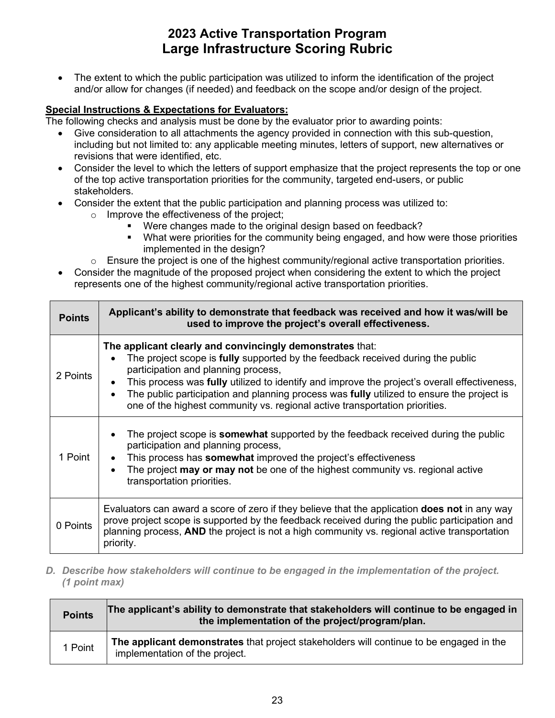• The extent to which the public participation was utilized to inform the identification of the project and/or allow for changes (if needed) and feedback on the scope and/or design of the project.

#### **Special Instructions & Expectations for Evaluators:**

The following checks and analysis must be done by the evaluator prior to awarding points:

- • Give consideration to all attachments the agency provided in connection with this sub-question, revisions that were identified, etc. including but not limited to: any applicable meeting minutes, letters of support, new alternatives or
- Consider the level to which the letters of support emphasize that the project represents the top or one of the top active transportation priorities for the community, targeted end-users, or public stakeholders.
- • Consider the extent that the public participation and planning process was utilized to:
	- o Improve the effectiveness of the project;
		- " Were changes made to the original design based on feedback?
		- What were priorities for the community being engaged, and how were those priorities implemented in the design?
	- $\circ$  Ensure the project is one of the highest community/regional active transportation priorities.
- Consider the magnitude of the proposed project when considering the extent to which the project represents one of the highest community/regional active transportation priorities.

| <b>Points</b> | Applicant's ability to demonstrate that feedback was received and how it was/will be<br>used to improve the project's overall effectiveness.                                                                                                                                                                                                                                                                                                                           |
|---------------|------------------------------------------------------------------------------------------------------------------------------------------------------------------------------------------------------------------------------------------------------------------------------------------------------------------------------------------------------------------------------------------------------------------------------------------------------------------------|
| 2 Points      | The applicant clearly and convincingly demonstrates that:<br>The project scope is <b>fully</b> supported by the feedback received during the public<br>participation and planning process,<br>This process was fully utilized to identify and improve the project's overall effectiveness,<br>The public participation and planning process was fully utilized to ensure the project is<br>one of the highest community vs. regional active transportation priorities. |
| 1 Point       | The project scope is <b>somewhat</b> supported by the feedback received during the public<br>participation and planning process,<br>This process has <b>somewhat</b> improved the project's effectiveness<br>The project may or may not be one of the highest community vs. regional active<br>transportation priorities.                                                                                                                                              |
| 0 Points      | Evaluators can award a score of zero if they believe that the application <b>does not</b> in any way<br>prove project scope is supported by the feedback received during the public participation and<br>planning process, AND the project is not a high community vs. regional active transportation<br>priority.                                                                                                                                                     |

*D. Describe how stakeholders will continue to be engaged in the implementation of the project. (1 point max)* 

| <b>Points</b> | The applicant's ability to demonstrate that stakeholders will continue to be engaged in<br>the implementation of the project/program/plan. |
|---------------|--------------------------------------------------------------------------------------------------------------------------------------------|
| 1 Point       | The applicant demonstrates that project stakeholders will continue to be engaged in the<br>implementation of the project.                  |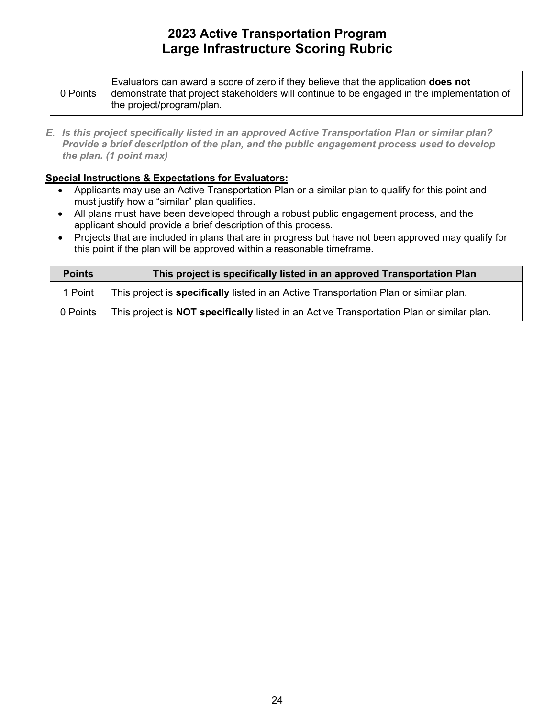| 0 Points | Evaluators can award a score of zero if they believe that the application <b>does not</b><br>demonstrate that project stakeholders will continue to be engaged in the implementation of |
|----------|-----------------------------------------------------------------------------------------------------------------------------------------------------------------------------------------|
|          | the project/program/plan.                                                                                                                                                               |

*E. Is this project specifically listed in an approved Active Transportation Plan or similar plan? Provide a brief description of the plan, and the public engagement process used to develop the plan. (1 point max)* 

#### **Special Instructions & Expectations for Evaluators:**

- Applicants may use an Active Transportation Plan or a similar plan to qualify for this point and must justify how a "similar" plan qualifies.
- All plans must have been developed through a robust public engagement process, and the applicant should provide a brief description of this process.
- • Projects that are included in plans that are in progress but have not been approved may qualify for this point if the plan will be approved within a reasonable timeframe.

| <b>Points</b> | This project is specifically listed in an approved Transportation Plan                           |
|---------------|--------------------------------------------------------------------------------------------------|
| 1 Point       | This project is <b>specifically</b> listed in an Active Transportation Plan or similar plan.     |
| 0 Points      | This project is <b>NOT specifically</b> listed in an Active Transportation Plan or similar plan. |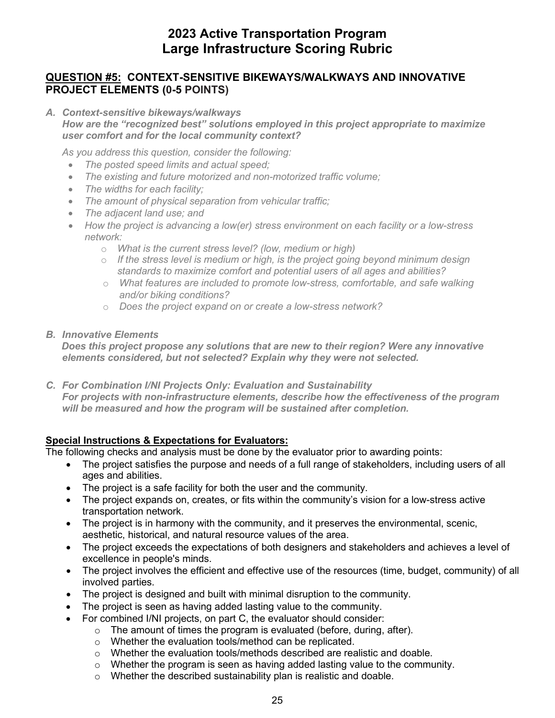### **QUESTION #5: CONTEXT-SENSITIVE BIKEWAYS/WALKWAYS AND INNOVATIVE PROJECT ELEMENTS (0-5 POINTS)**

*A. Context-sensitive bikeways/walkways*

 *user comfort and for the local community context? How are the "recognized best" solutions employed in this project appropriate to maximize* 

*As you address this question, consider the following:* 

- *The posted speed limits and actual speed;*
- *The existing and future motorized and non-motorized traffic volume;*
- *The widths for each facility;*
- *The amount of physical separation from vehicular traffic;*
- *The adjacent land use; and*
- How the project is advancing a low(er) stress environment on each facility or a low-stress *network:* 
	- o *What is the current stress level? (low, medium or high)*
	- $\circ$  If the stress level is medium or high, is the project going beyond minimum design  *standards to maximize comfort and potential users of all ages and abilities?*
	- o *What features are included to promote low-stress, comfortable, and safe walking and/or biking conditions?*
	- o *Does the project expand on or create a low-stress network?*
- *B. Innovative Elements*

*Does this project propose any solutions that are new to their region? Were any innovative elements considered, but not selected? Explain why they were not selected.* 

*C. For Combination I/NI Projects Only: Evaluation and Sustainability For projects with non-infrastructure elements, describe how the effectiveness of the program will be measured and how the program will be sustained after completion.* 

#### **Special Instructions & Expectations for Evaluators:**

- The project satisfies the purpose and needs of a full range of stakeholders, including users of all ages and abilities.
- The project is a safe facility for both the user and the community.
- • The project expands on, creates, or fits within the community's vision for a low-stress active transportation network.
- The project is in harmony with the community, and it preserves the environmental, scenic, aesthetic, historical, and natural resource values of the area.
- The project exceeds the expectations of both designers and stakeholders and achieves a level of excellence in people's minds.
- • The project involves the efficient and effective use of the resources (time, budget, community) of all involved parties.
- The project is designed and built with minimal disruption to the community.
- The project is seen as having added lasting value to the community.
- • For combined I/NI projects, on part C, the evaluator should consider:
	- $\circ$  The amount of times the program is evaluated (before, during, after).
	- o Whether the evaluation tools/method can be replicated.
	- o Whether the evaluation tools/methods described are realistic and doable.
	- $\circ$  Whether the program is seen as having added lasting value to the community.
	- $\circ$  Whether the described sustainability plan is realistic and doable.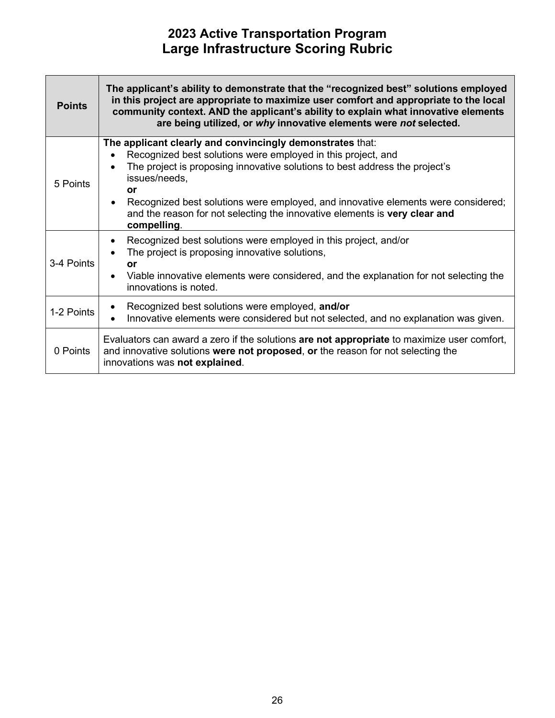| <b>Points</b> | The applicant's ability to demonstrate that the "recognized best" solutions employed<br>in this project are appropriate to maximize user comfort and appropriate to the local<br>community context. AND the applicant's ability to explain what innovative elements<br>are being utilized, or why innovative elements were not selected.                                                                                                    |
|---------------|---------------------------------------------------------------------------------------------------------------------------------------------------------------------------------------------------------------------------------------------------------------------------------------------------------------------------------------------------------------------------------------------------------------------------------------------|
| 5 Points      | The applicant clearly and convincingly demonstrates that:<br>Recognized best solutions were employed in this project, and<br>The project is proposing innovative solutions to best address the project's<br>$\bullet$<br>issues/needs,<br>or<br>Recognized best solutions were employed, and innovative elements were considered;<br>$\bullet$<br>and the reason for not selecting the innovative elements is very clear and<br>compelling. |
| 3-4 Points    | Recognized best solutions were employed in this project, and/or<br>$\bullet$<br>The project is proposing innovative solutions,<br>$\bullet$<br>or<br>Viable innovative elements were considered, and the explanation for not selecting the<br>$\bullet$<br>innovations is noted.                                                                                                                                                            |
| 1-2 Points    | Recognized best solutions were employed, and/or<br>$\bullet$<br>Innovative elements were considered but not selected, and no explanation was given.                                                                                                                                                                                                                                                                                         |
| 0 Points      | Evaluators can award a zero if the solutions are not appropriate to maximize user comfort,<br>and innovative solutions were not proposed, or the reason for not selecting the<br>innovations was not explained.                                                                                                                                                                                                                             |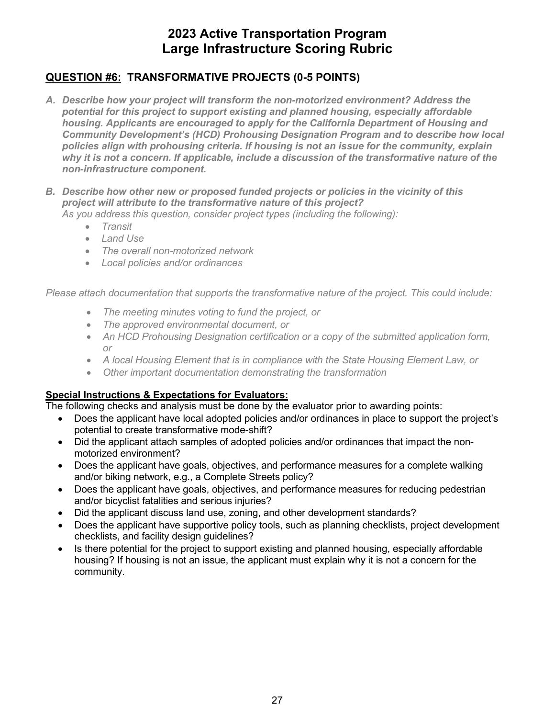### **QUESTION #6: TRANSFORMATIVE PROJECTS (0-5 POINTS)**

- *A. Describe how your project will transform the non-motorized environment? Address the potential for this project to support existing and planned housing, especially affordable housing. Applicants are encouraged to apply for the California Department of Housing and Community Development's (HCD) Prohousing Designation Program and to describe how local policies align with prohousing criteria. If housing is not an issue for the community, explain why it is not a concern. If applicable, include a discussion of the transformative nature of the non-infrastructure component.*
- *B. Describe how other new or proposed funded projects or policies in the vicinity of this project will attribute to the transformative nature of this project? As you address this question, consider project types (including the following):* 
	- *Transit*
	- *Land Use*
	- *The overall non-motorized network*
	- *Local policies and/or ordinances*

*Please attach documentation that supports the transformative nature of the project. This could include:* 

- *The meeting minutes voting to fund the project, or*
- *The approved environmental document, or*
- *An HCD Prohousing Designation certification or a copy of the submitted application form, or*
- A local Housing Element that is in compliance with the State Housing Element Law, or
- *Other important documentation demonstrating the transformation*

#### **Special Instructions & Expectations for Evaluators:**

- potential to create transformative mode-shift? • Does the applicant have local adopted policies and/or ordinances in place to support the project's
- • Did the applicant attach samples of adopted policies and/or ordinances that impact the non-motorized environment?
- and/or biking network, e.g., a Complete Streets policy? • Does the applicant have goals, objectives, and performance measures for a complete walking
- Does the applicant have goals, objectives, and performance measures for reducing pedestrian and/or bicyclist fatalities and serious injuries?
- Did the applicant discuss land use, zoning, and other development standards?
- checklists, and facility design guidelines? • Does the applicant have supportive policy tools, such as planning checklists, project development
- housing? If housing is not an issue, the applicant must explain why it is not a concern for the Is there potential for the project to support existing and planned housing, especially affordable community.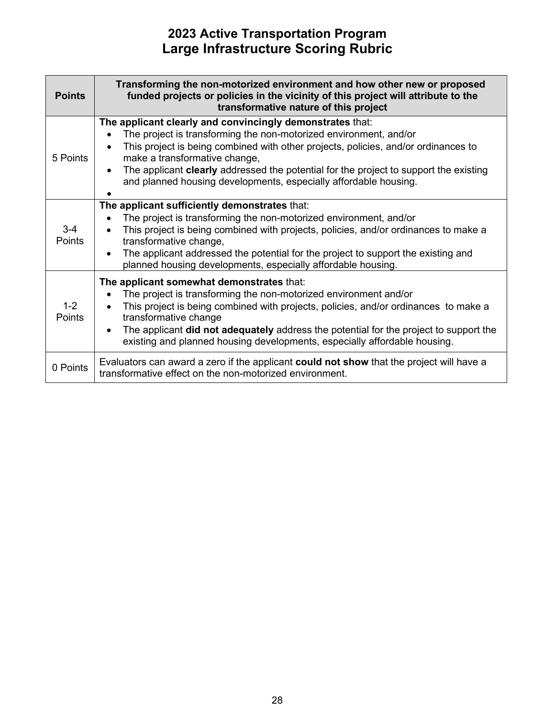| <b>Points</b>            | Transforming the non-motorized environment and how other new or proposed<br>funded projects or policies in the vicinity of this project will attribute to the<br>transformative nature of this project                                                                                                                                                                                                                                 |
|--------------------------|----------------------------------------------------------------------------------------------------------------------------------------------------------------------------------------------------------------------------------------------------------------------------------------------------------------------------------------------------------------------------------------------------------------------------------------|
| 5 Points                 | The applicant clearly and convincingly demonstrates that:<br>The project is transforming the non-motorized environment, and/or<br>This project is being combined with other projects, policies, and/or ordinances to<br>make a transformative change,<br>The applicant <b>clearly</b> addressed the potential for the project to support the existing<br>$\bullet$<br>and planned housing developments, especially affordable housing. |
| $3 - 4$<br><b>Points</b> | The applicant sufficiently demonstrates that:<br>The project is transforming the non-motorized environment, and/or<br>$\bullet$<br>This project is being combined with projects, policies, and/or ordinances to make a<br>transformative change,<br>The applicant addressed the potential for the project to support the existing and<br>planned housing developments, especially affordable housing.                                  |
| $1 - 2$<br><b>Points</b> | The applicant somewhat demonstrates that:<br>The project is transforming the non-motorized environment and/or<br>This project is being combined with projects, policies, and/or ordinances to make a<br>transformative change<br>The applicant did not adequately address the potential for the project to support the<br>$\bullet$<br>existing and planned housing developments, especially affordable housing.                       |
| 0 Points                 | Evaluators can award a zero if the applicant could not show that the project will have a<br>transformative effect on the non-motorized environment.                                                                                                                                                                                                                                                                                    |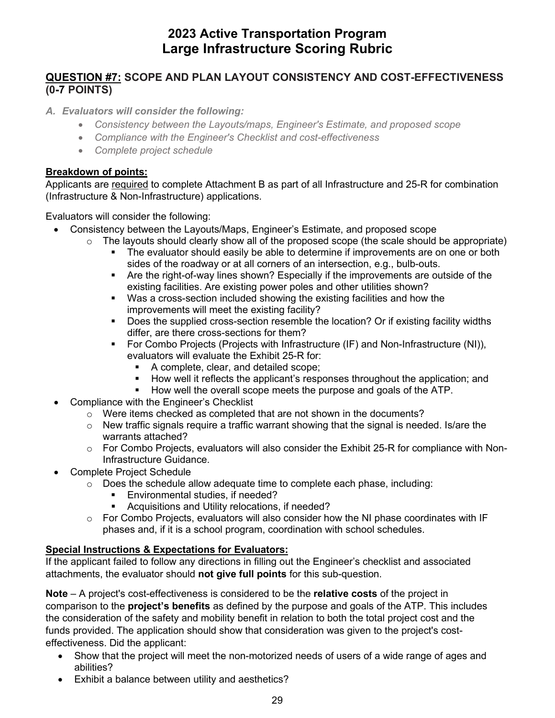### **(0-7 POINTS) QUESTION #7: SCOPE AND PLAN LAYOUT CONSISTENCY AND COST-EFFECTIVENESS**

#### *A. Evaluators will consider the following:*

- *Consistency between the Layouts/maps, Engineer's Estimate, and proposed scope*
- *Compliance with the Engineer's Checklist and cost-effectiveness*
- *Complete project schedule*

#### **Breakdown of points:**

Applicants are required to complete Attachment B as part of all Infrastructure and 25-R for combination (Infrastructure & Non-Infrastructure) applications.

Evaluators will consider the following:

- Consistency between the Layouts/Maps, Engineer's Estimate, and proposed scope
	- $\circ$  The layouts should clearly show all of the proposed scope (the scale should be appropriate)
		- The evaluator should easily be able to determine if improvements are on one or both sides of the roadway or at all corners of an intersection, e.g., bulb-outs.
			- Are the right-of-way lines shown? Especially if the improvements are outside of the existing facilities. Are existing power poles and other utilities shown?
			- Was a cross-section included showing the existing facilities and how the improvements will meet the existing facility?
			- **Does the supplied cross-section resemble the location? Or if existing facility widths** differ, are there cross-sections for them?
			- For Combo Projects (Projects with Infrastructure (IF) and Non-Infrastructure (NI)), evaluators will evaluate the Exhibit 25-R for:
				- A complete, clear, and detailed scope;
				- **How well it reflects the applicant's responses throughout the application; and**
				- **How well the overall scope meets the purpose and goals of the ATP.**
- Compliance with the Engineer's Checklist
	- o Were items checked as completed that are not shown in the documents?
	- $\circ$  New traffic signals require a traffic warrant showing that the signal is needed. Is/are the warrants attached?
	- $\circ$  For Combo Projects, evaluators will also consider the Exhibit 25-R for compliance with Non-Infrastructure Guidance.
- Complete Project Schedule
	- $\circ$  Does the schedule allow adequate time to complete each phase, including:
		- **Environmental studies, if needed?**
		- **Acquisitions and Utility relocations, if needed?**
	- $\circ$  For Combo Projects, evaluators will also consider how the NI phase coordinates with IF phases and, if it is a school program, coordination with school schedules.

#### **Special Instructions & Expectations for Evaluators:**

If the applicant failed to follow any directions in filling out the Engineer's checklist and associated attachments, the evaluator should **not give full points** for this sub-question.

 funds provided. The application should show that consideration was given to the project's cost-**Note** – A project's cost-effectiveness is considered to be the **relative costs** of the project in comparison to the **project's benefits** as defined by the purpose and goals of the ATP. This includes the consideration of the safety and mobility benefit in relation to both the total project cost and the effectiveness. Did the applicant:

- Show that the project will meet the non-motorized needs of users of a wide range of ages and abilities?
- Exhibit a balance between utility and aesthetics?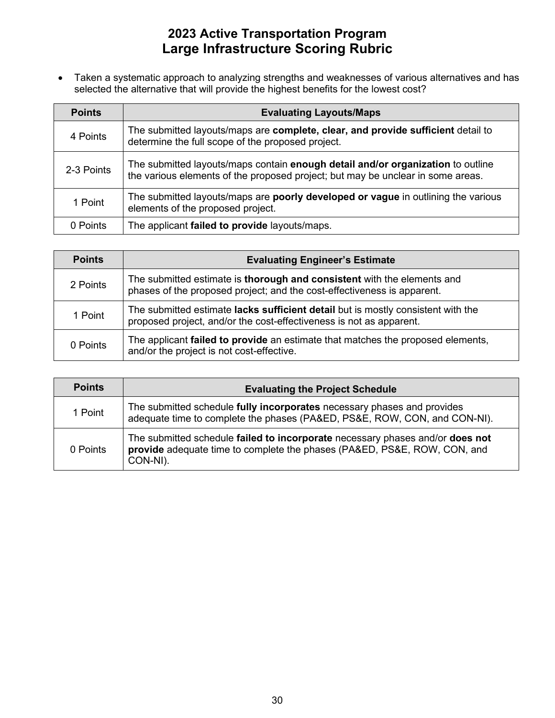• Taken a systematic approach to analyzing strengths and weaknesses of various alternatives and has selected the alternative that will provide the highest benefits for the lowest cost?

| <b>Points</b> | <b>Evaluating Layouts/Maps</b>                                                                                                                                     |
|---------------|--------------------------------------------------------------------------------------------------------------------------------------------------------------------|
| 4 Points      | The submitted layouts/maps are complete, clear, and provide sufficient detail to<br>determine the full scope of the proposed project.                              |
| 2-3 Points    | The submitted layouts/maps contain enough detail and/or organization to outline<br>the various elements of the proposed project; but may be unclear in some areas. |
| 1 Point       | The submitted layouts/maps are poorly developed or vague in outlining the various<br>elements of the proposed project.                                             |
| 0 Points      | The applicant failed to provide layouts/maps.                                                                                                                      |

| <b>Points</b> | <b>Evaluating Engineer's Estimate</b>                                                                                                                   |
|---------------|---------------------------------------------------------------------------------------------------------------------------------------------------------|
| 2 Points      | The submitted estimate is thorough and consistent with the elements and<br>phases of the proposed project; and the cost-effectiveness is apparent.      |
| 1 Point       | The submitted estimate lacks sufficient detail but is mostly consistent with the<br>proposed project, and/or the cost-effectiveness is not as apparent. |
| 0 Points      | The applicant failed to provide an estimate that matches the proposed elements,<br>and/or the project is not cost-effective.                            |

| <b>Points</b> | <b>Evaluating the Project Schedule</b>                                                                                                                                |
|---------------|-----------------------------------------------------------------------------------------------------------------------------------------------------------------------|
| 1 Point       | The submitted schedule fully incorporates necessary phases and provides<br>adequate time to complete the phases (PA&ED, PS&E, ROW, CON, and CON-NI).                  |
| 0 Points      | The submitted schedule failed to incorporate necessary phases and/or does not<br>provide adequate time to complete the phases (PA&ED, PS&E, ROW, CON, and<br>CON-NI). |